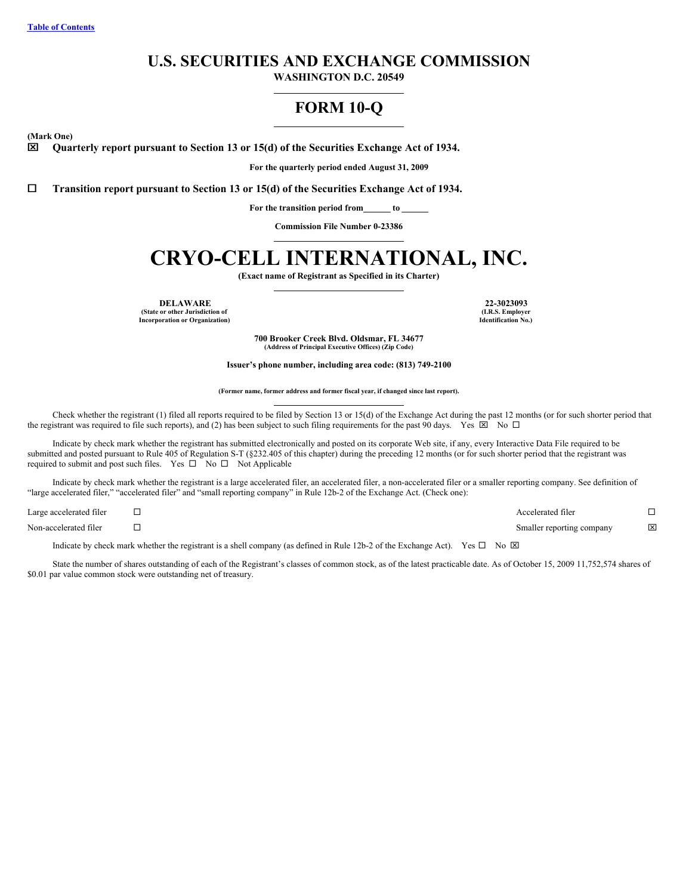# **U.S. SECURITIES AND EXCHANGE COMMISSION**

**WASHINGTON D.C. 20549**

# **FORM 10-Q**

**(Mark One)**

x **Quarterly report pursuant to Section 13 or 15(d) of the Securities Exchange Act of 1934.**

**For the quarterly period ended August 31, 2009**

¨ **Transition report pursuant to Section 13 or 15(d) of the Securities Exchange Act of 1934.**

**For the transition period from to**

**Commission File Number 0-23386**

# **CRYO-CELL INTERNATIONAL, INC.**

**(Exact name of Registrant as Specified in its Charter)**

**DELAWARE 22-3023093 (State or other Jurisdiction of Incorporation or Organization)**

**(I.R.S. Employer Identification No.)**

**700 Brooker Creek Blvd. Oldsmar, FL 34677 (Address of Principal Executive Offices) (Zip Code)**

**Issuer's phone number, including area code: (813) 749-2100**

#### **(Former name, former address and former fiscal year, if changed since last report).**

Check whether the registrant (1) filed all reports required to be filed by Section 13 or 15(d) of the Exchange Act during the past 12 months (or for such shorter period that the registrant was required to file such reports), and (2) has been subject to such filing requirements for the past 90 days. Yes  $\boxtimes$  No  $\Box$ 

Indicate by check mark whether the registrant has submitted electronically and posted on its corporate Web site, if any, every Interactive Data File required to be submitted and posted pursuant to Rule 405 of Regulation S-T (§232.405 of this chapter) during the preceding 12 months (or for such shorter period that the registrant was required to submit and post such files. Yes  $\square$  No  $\square$  Not Applicable

Indicate by check mark whether the registrant is a large accelerated filer, an accelerated filer, a non-accelerated filer or a smaller reporting company. See definition of "large accelerated filer," "accelerated filer" and "small reporting company" in Rule 12b-2 of the Exchange Act. (Check one):

| Large accelerated filer | Accelerated filer         |   |
|-------------------------|---------------------------|---|
| Non-accelerated filer   | Smaller reporting company | ⊠ |

Indicate by check mark whether the registrant is a shell company (as defined in Rule 12b-2 of the Exchange Act). Yes  $\Box$  No  $\boxtimes$ 

State the number of shares outstanding of each of the Registrant's classes of common stock, as of the latest practicable date. As of October 15, 2009 11,752,574 shares of \$0.01 par value common stock were outstanding net of treasury.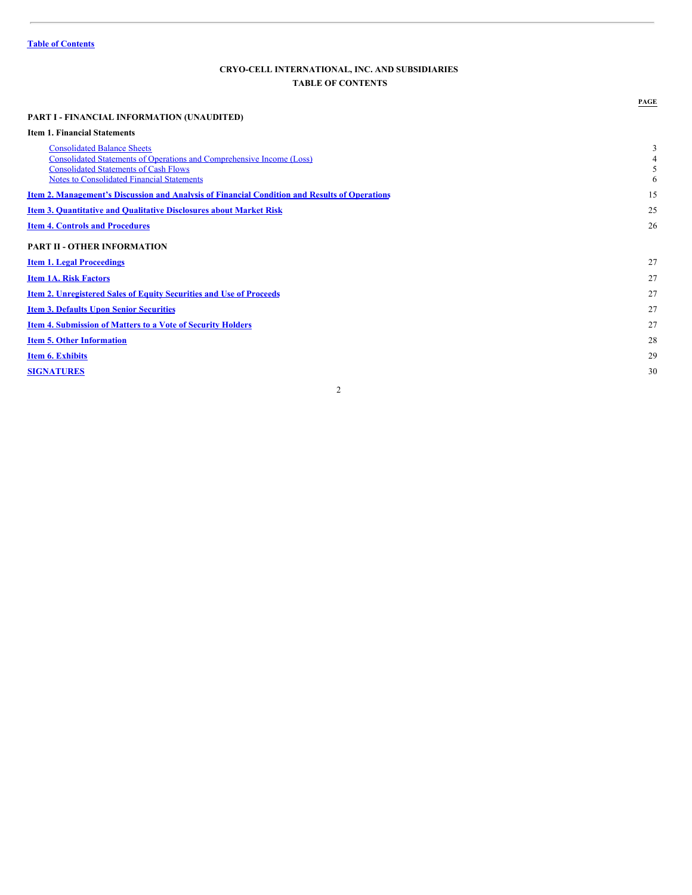# <span id="page-1-0"></span>**CRYO-CELL INTERNATIONAL, INC. AND SUBSIDIARIES TABLE OF CONTENTS**

# **PART I - FINANCIAL INFORMATION (UNAUDITED) Item 1. Financial Statements [Consolidated](#page-2-0) Balance Sheets** 3 Consolidated Statements of Operations and [Comprehensive](#page-3-0) Income (Loss) 4 Supersection [Consolidated](#page-4-0) Statements of Cash Flows 5<br>
Supersection Consolidated Financial Statements 6 Notes to [Consolidated](#page-5-0) Financial Statements 6 **Item 2. [Management's](#page-14-0) Discussion and Analysis of Financial Condition and Results of Operations** 15 **Item 3. [Quantitative](#page-24-0) and Qualitative Disclosures about Market Risk** 25 **Item 4. Controls and [Procedures](#page-25-0)** 26 **PART II - OTHER INFORMATION Item 1. Legal [Proceedings](#page-26-0)** 27 **Item 1A. Risk [Factors](#page-26-1)** 27 **Item 2. [Unregistered](#page-26-2) Sales of Equity Securities and Use of Proceeds** 27 **Item 3. Defaults Upon Senior [Securities](#page-26-3)** 27 **Item 4. [Submission](#page-26-4) of Matters to a Vote of Security Holders** 27 **Item 5. Other [Information](#page-27-0)** 28 **Item 6. [Exhibits](#page-28-0)** 29 **[SIGNATURES](#page-29-0)** 30

**PAGE**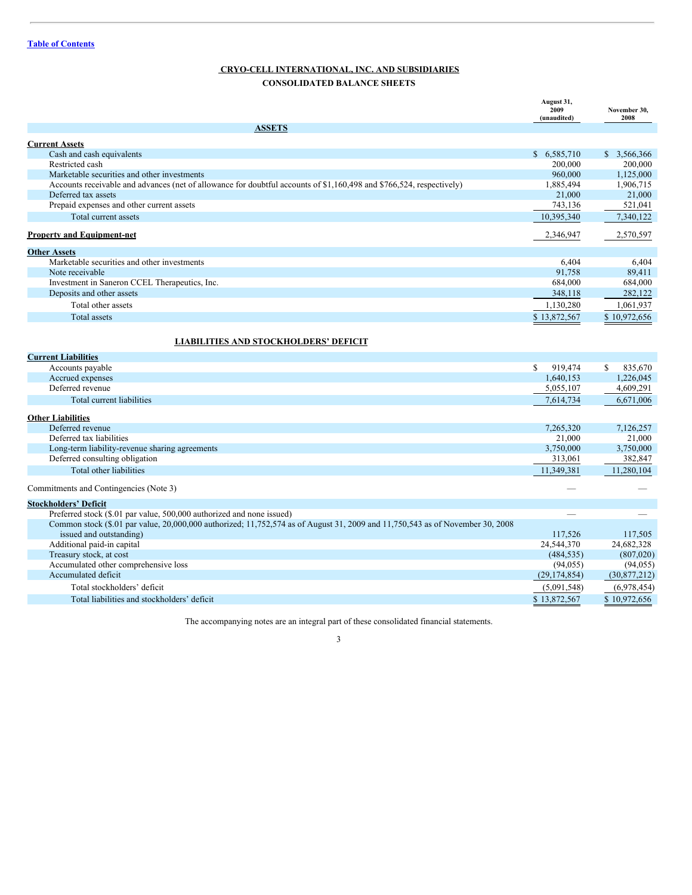# <span id="page-2-0"></span>**CRYO-CELL INTERNATIONAL, INC. AND SUBSIDIARIES CONSOLIDATED BALANCE SHEETS**

|                                                                                                                               | August 31,<br>2009<br>(unaudited) | November 30,<br>2008 |
|-------------------------------------------------------------------------------------------------------------------------------|-----------------------------------|----------------------|
| <b>ASSETS</b>                                                                                                                 |                                   |                      |
| <b>Current Assets</b>                                                                                                         |                                   |                      |
| Cash and cash equivalents                                                                                                     | \$6,585,710                       | \$3,566,366          |
| Restricted cash                                                                                                               | 200,000                           | 200,000              |
| Marketable securities and other investments                                                                                   | 960,000                           | 1,125,000            |
| Accounts receivable and advances (net of allowance for doubtful accounts of \$1,160,498 and \$766,524, respectively)          | 1,885,494                         | 1,906,715            |
| Deferred tax assets                                                                                                           | 21,000                            | 21,000               |
| Prepaid expenses and other current assets                                                                                     | 743,136                           | 521,041              |
| Total current assets                                                                                                          | 10,395,340                        | 7,340,122            |
| <b>Property and Equipment-net</b>                                                                                             | 2,346,947                         | 2,570,597            |
| <b>Other Assets</b>                                                                                                           |                                   |                      |
| Marketable securities and other investments                                                                                   | 6,404                             | 6,404                |
| Note receivable                                                                                                               | 91,758                            | 89,411               |
| Investment in Saneron CCEL Therapeutics, Inc.                                                                                 | 684,000                           | 684,000              |
| Deposits and other assets                                                                                                     | 348,118                           | 282,122              |
| Total other assets                                                                                                            | 1,130,280                         | 1,061,937            |
| <b>Total assets</b>                                                                                                           | \$13,872,567                      | \$10,972,656         |
|                                                                                                                               |                                   |                      |
| <b>LIABILITIES AND STOCKHOLDERS' DEFICIT</b>                                                                                  |                                   |                      |
| <b>Current Liabilities</b>                                                                                                    |                                   |                      |
| Accounts payable                                                                                                              | 919,474<br>S.                     | 835,670<br>\$        |
| Accrued expenses                                                                                                              | 1,640,153                         | 1,226,045            |
| Deferred revenue                                                                                                              | 5,055,107                         | 4,609,291            |
| Total current liabilities                                                                                                     | 7,614,734                         | 6,671,006            |
|                                                                                                                               |                                   |                      |
| <b>Other Liabilities</b>                                                                                                      |                                   |                      |
| Deferred revenue                                                                                                              | 7,265,320                         | 7,126,257            |
| Deferred tax liabilities                                                                                                      | 21,000                            | 21,000               |
| Long-term liability-revenue sharing agreements                                                                                | 3,750,000                         | 3,750,000            |
| Deferred consulting obligation                                                                                                | 313,061                           | 382,847              |
| Total other liabilities                                                                                                       | 11,349,381                        | 11,280,104           |
| Commitments and Contingencies (Note 3)                                                                                        |                                   |                      |
| <b>Stockholders' Deficit</b>                                                                                                  |                                   |                      |
| Preferred stock (\$.01 par value, 500,000 authorized and none issued)                                                         |                                   |                      |
| Common stock (\$.01 par value, 20,000,000 authorized; 11,752,574 as of August 31, 2009 and 11,750,543 as of November 30, 2008 |                                   |                      |
| issued and outstanding)                                                                                                       | 117,526                           | 117,505              |
| Additional paid-in capital                                                                                                    | 24,544,370                        | 24,682,328           |
| Treasury stock, at cost                                                                                                       | (484, 535)                        | (807,020)            |
| Accumulated other comprehensive loss                                                                                          | (94, 055)                         | (94, 055)            |
| Accumulated deficit                                                                                                           | (29, 174, 854)                    | (30,877,212)         |
| Total stockholders' deficit                                                                                                   | (5,091,548)                       | (6,978,454)          |
| Total liabilities and stockholders' deficit                                                                                   | \$13,872,567                      | \$10,972,656         |

The accompanying notes are an integral part of these consolidated financial statements.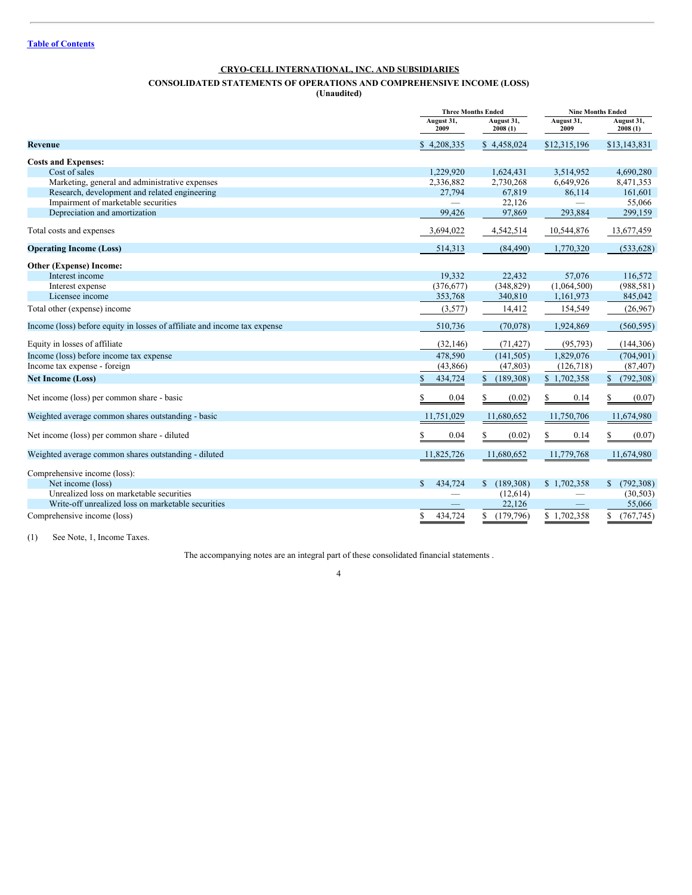# <span id="page-3-0"></span>**CONSOLIDATED STATEMENTS OF OPERATIONS AND COMPREHENSIVE INCOME (LOSS)**

**(Unaudited)**

|                                                                           | <b>Three Months Ended</b> |                       | <b>Nine Months Ended</b> |                       |
|---------------------------------------------------------------------------|---------------------------|-----------------------|--------------------------|-----------------------|
|                                                                           | August 31,<br>2009        | August 31,<br>2008(1) | August 31,<br>2009       | August 31,<br>2008(1) |
| <b>Revenue</b>                                                            | \$4,208,335               | \$4,458,024           | \$12,315,196             | \$13,143,831          |
| <b>Costs and Expenses:</b>                                                |                           |                       |                          |                       |
| Cost of sales                                                             | 1.229.920                 | 1,624,431             | 3,514,952                | 4,690,280             |
| Marketing, general and administrative expenses                            | 2,336,882                 | 2,730,268             | 6,649,926                | 8,471,353             |
| Research, development and related engineering                             | 27,794                    | 67,819                | 86,114                   | 161,601               |
| Impairment of marketable securities                                       |                           | 22,126                |                          | 55,066                |
| Depreciation and amortization                                             | 99,426                    | 97,869                | 293,884                  | 299,159               |
| Total costs and expenses                                                  | 3,694,022                 | 4,542,514             | 10,544,876               | 13,677,459            |
| <b>Operating Income (Loss)</b>                                            | 514,313                   | (84, 490)             | 1,770,320                | (533, 628)            |
| Other (Expense) Income:                                                   |                           |                       |                          |                       |
| Interest income                                                           | 19.332                    | 22,432                | 57,076                   | 116,572               |
| Interest expense                                                          | (376, 677)                | (348, 829)            | (1,064,500)              | (988, 581)            |
| Licensee income                                                           | 353,768                   | 340,810               | 1,161,973                | 845,042               |
| Total other (expense) income                                              | (3,577)                   | 14,412                | 154,549                  | (26,967)              |
| Income (loss) before equity in losses of affiliate and income tax expense | 510,736                   | (70,078)              | 1,924,869                | (560, 595)            |
| Equity in losses of affiliate                                             | (32, 146)                 | (71, 427)             | (95, 793)                | (144, 306)            |
| Income (loss) before income tax expense                                   | 478,590                   | (141, 505)            | 1,829,076                | (704, 901)            |
| Income tax expense - foreign                                              | (43,866)                  | (47, 803)             | (126,718)                | (87, 407)             |
| <b>Net Income (Loss)</b>                                                  | 434,724                   | \$<br>(189, 308)      | \$1,702,358              | (792, 308)            |
| Net income (loss) per common share - basic                                | 0.04<br>S                 | (0.02)<br>S           | 0.14                     | (0.07)                |
| Weighted average common shares outstanding - basic                        | 11,751,029                | 11,680,652            | 11,750,706               | 11,674,980            |
| Net income (loss) per common share - diluted                              | 0.04<br>S                 | \$<br>(0.02)          | 0.14                     | S<br>(0.07)           |
| Weighted average common shares outstanding - diluted                      | 11,825,726                | 11,680,652            | 11,779,768               | 11,674,980            |
| Comprehensive income (loss):                                              |                           |                       |                          |                       |
| Net income (loss)                                                         | 434,724<br>S.             | \$(189,308)           | \$1,702,358              | (792, 308)<br>\$      |
| Unrealized loss on marketable securities                                  | $\overline{\phantom{0}}$  | (12,614)              |                          | (30, 503)             |
| Write-off unrealized loss on marketable securities                        |                           | 22,126                |                          | 55,066                |
| Comprehensive income (loss)                                               | 434,724<br>S              | (179, 796)<br>\$      | \$1.702.358              | (767, 745)<br>\$.     |

(1) See Note, 1, Income Taxes.

The accompanying notes are an integral part of these consolidated financial statements .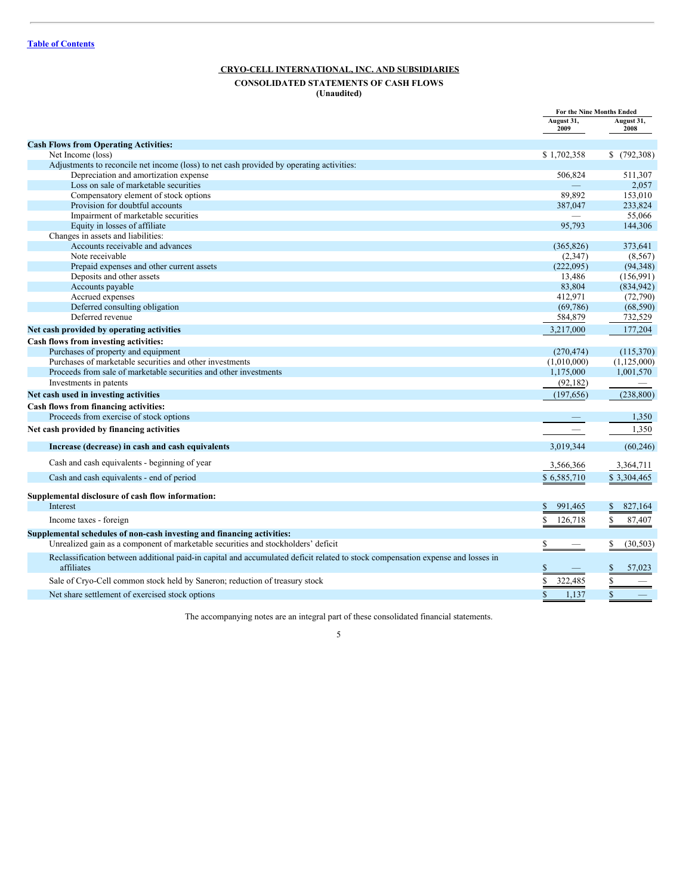# <span id="page-4-0"></span>**CRYO-CELL INTERNATIONAL, INC. AND SUBSIDIARIES CONSOLIDATED STATEMENTS OF CASH FLOWS**

**(Unaudited)**

|                                                                                                                                               | For the Nine Months Ended |                    |
|-----------------------------------------------------------------------------------------------------------------------------------------------|---------------------------|--------------------|
|                                                                                                                                               | August 31,<br>2009        | August 31,<br>2008 |
| <b>Cash Flows from Operating Activities:</b>                                                                                                  |                           |                    |
| Net Income (loss)                                                                                                                             | \$1,702,358               | \$(792,308)        |
| Adjustments to reconcile net income (loss) to net cash provided by operating activities:                                                      |                           |                    |
| Depreciation and amortization expense                                                                                                         | 506,824                   | 511,307            |
| Loss on sale of marketable securities                                                                                                         |                           | 2,057              |
| Compensatory element of stock options                                                                                                         | 89,892                    | 153,010            |
| Provision for doubtful accounts                                                                                                               | 387,047                   | 233,824            |
| Impairment of marketable securities                                                                                                           |                           | 55,066             |
| Equity in losses of affiliate                                                                                                                 | 95.793                    | 144.306            |
| Changes in assets and liabilities:                                                                                                            |                           |                    |
| Accounts receivable and advances                                                                                                              | (365, 826)                | 373,641            |
| Note receivable                                                                                                                               | (2,347)                   | (8, 567)           |
| Prepaid expenses and other current assets                                                                                                     | (222,095)                 | (94, 348)          |
| Deposits and other assets                                                                                                                     | 13.486                    | (156, 991)         |
| Accounts payable                                                                                                                              | 83,804                    | (834, 942)         |
| Accrued expenses                                                                                                                              | 412,971                   | (72,790)           |
| Deferred consulting obligation<br>Deferred revenue                                                                                            | (69, 786)                 | (68, 590)          |
|                                                                                                                                               | 584,879                   | 732,529            |
| Net cash provided by operating activities                                                                                                     | 3,217,000                 | 177,204            |
| Cash flows from investing activities:                                                                                                         |                           |                    |
| Purchases of property and equipment                                                                                                           | (270, 474)                | (115,370)          |
| Purchases of marketable securities and other investments                                                                                      | (1,010,000)               | (1,125,000)        |
| Proceeds from sale of marketable securities and other investments                                                                             | 1,175,000                 | 1,001,570          |
| Investments in patents                                                                                                                        | (92, 182)                 |                    |
| Net cash used in investing activities                                                                                                         | (197, 656)                | (238, 800)         |
| Cash flows from financing activities:                                                                                                         |                           |                    |
| Proceeds from exercise of stock options                                                                                                       | $\qquad \qquad -$         | 1,350              |
| Net cash provided by financing activities                                                                                                     | $\overline{\phantom{m}}$  | 1,350              |
| Increase (decrease) in cash and cash equivalents                                                                                              | 3,019,344                 | (60, 246)          |
| Cash and cash equivalents - beginning of year                                                                                                 | 3,566,366                 | 3,364,711          |
| Cash and cash equivalents - end of period                                                                                                     | \$6,585,710               | \$3,304,465        |
| Supplemental disclosure of cash flow information:                                                                                             |                           |                    |
| Interest                                                                                                                                      | 991,465<br>\$             | 827,164<br>\$      |
| Income taxes - foreign                                                                                                                        | \$.<br>126,718            | \$<br>87,407       |
| Supplemental schedules of non-cash investing and financing activities:                                                                        |                           |                    |
| Unrealized gain as a component of marketable securities and stockholders' deficit                                                             | S                         | \$<br>(30, 503)    |
| Reclassification between additional paid-in capital and accumulated deficit related to stock compensation expense and losses in<br>affiliates | \$                        | 57,023             |
| Sale of Cryo-Cell common stock held by Saneron; reduction of treasury stock                                                                   | \$<br>322,485             | \$                 |
| Net share settlement of exercised stock options                                                                                               | \$<br>1,137               | $\mathbb{S}$       |

The accompanying notes are an integral part of these consolidated financial statements.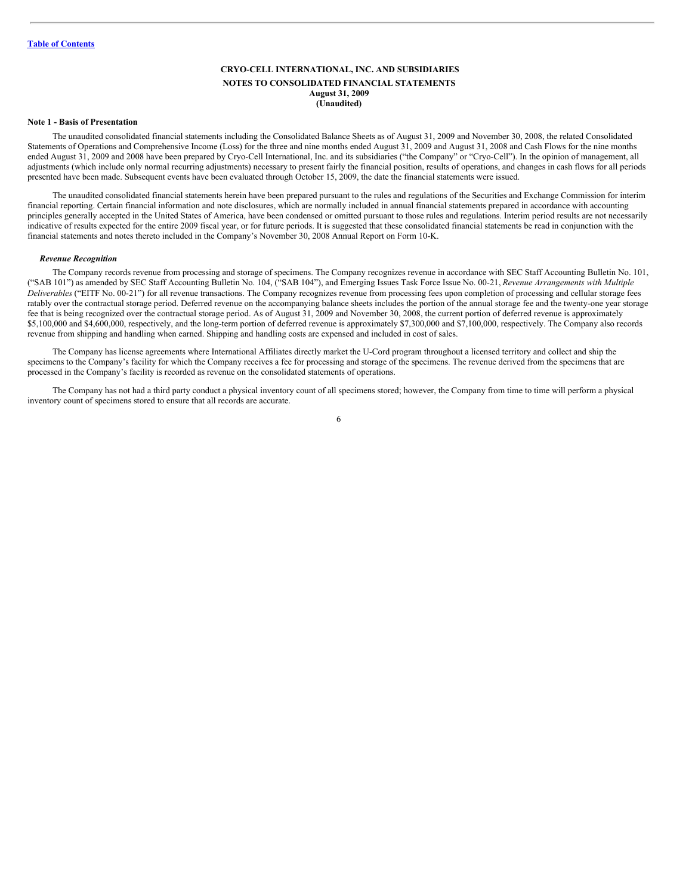# <span id="page-5-0"></span>**CRYO-CELL INTERNATIONAL, INC. AND SUBSIDIARIES NOTES TO CONSOLIDATED FINANCIAL STATEMENTS August 31, 2009 (Unaudited)**

#### **Note 1 - Basis of Presentation**

The unaudited consolidated financial statements including the Consolidated Balance Sheets as of August 31, 2009 and November 30, 2008, the related Consolidated Statements of Operations and Comprehensive Income (Loss) for the three and nine months ended August 31, 2009 and August 31, 2008 and Cash Flows for the nine months ended August 31, 2009 and 2008 have been prepared by Cryo-Cell International, Inc. and its subsidiaries ("the Company" or "Cryo-Cell"). In the opinion of management, all adjustments (which include only normal recurring adjustments) necessary to present fairly the financial position, results of operations, and changes in cash flows for all periods presented have been made. Subsequent events have been evaluated through October 15, 2009, the date the financial statements were issued.

The unaudited consolidated financial statements herein have been prepared pursuant to the rules and regulations of the Securities and Exchange Commission for interim financial reporting. Certain financial information and note disclosures, which are normally included in annual financial statements prepared in accordance with accounting principles generally accepted in the United States of America, have been condensed or omitted pursuant to those rules and regulations. Interim period results are not necessarily indicative of results expected for the entire 2009 fiscal year, or for future periods. It is suggested that these consolidated financial statements be read in conjunction with the financial statements and notes thereto included in the Company's November 30, 2008 Annual Report on Form 10-K.

#### *Revenue Recognition*

The Company records revenue from processing and storage of specimens. The Company recognizes revenue in accordance with SEC Staff Accounting Bulletin No. 101, ("SAB 101") as amended by SEC Staff Accounting Bulletin No. 104, ("SAB 104"), and Emerging Issues Task Force Issue No. 00-21, *Revenue Arrangements with Multiple Deliverables* ("EITF No. 00-21") for all revenue transactions. The Company recognizes revenue from processing fees upon completion of processing and cellular storage fees ratably over the contractual storage period. Deferred revenue on the accompanying balance sheets includes the portion of the annual storage fee and the twenty-one year storage fee that is being recognized over the contractual storage period. As of August 31, 2009 and November 30, 2008, the current portion of deferred revenue is approximately \$5,100,000 and \$4,600,000, respectively, and the long-term portion of deferred revenue is approximately \$7,300,000 and \$7,100,000, respectively. The Company also records revenue from shipping and handling when earned. Shipping and handling costs are expensed and included in cost of sales.

The Company has license agreements where International Affiliates directly market the U-Cord program throughout a licensed territory and collect and ship the specimens to the Company's facility for which the Company receives a fee for processing and storage of the specimens. The revenue derived from the specimens that are processed in the Company's facility is recorded as revenue on the consolidated statements of operations.

The Company has not had a third party conduct a physical inventory count of all specimens stored; however, the Company from time to time will perform a physical inventory count of specimens stored to ensure that all records are accurate.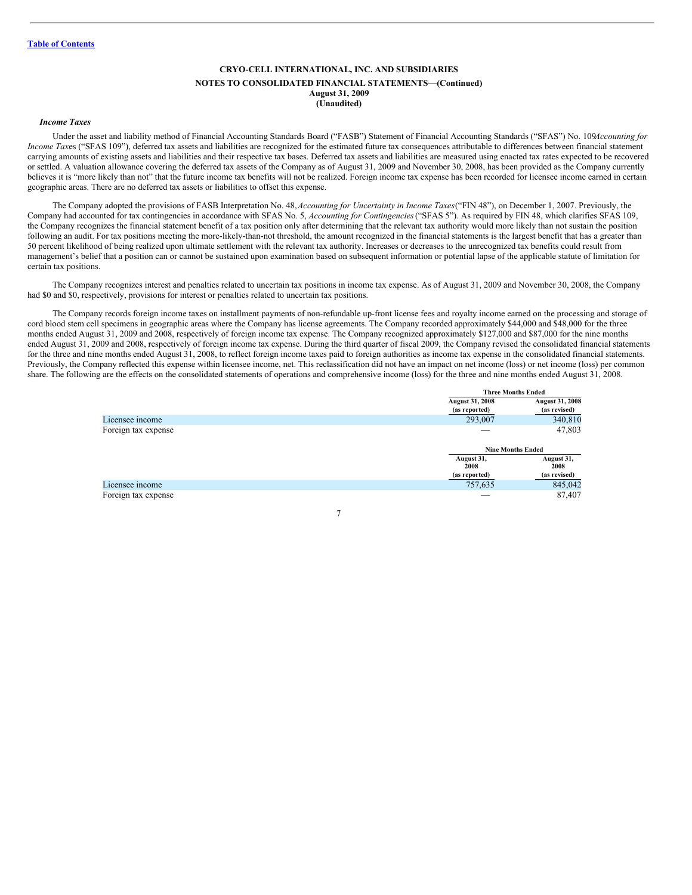# **CRYO-CELL INTERNATIONAL, INC. AND SUBSIDIARIES NOTES TO CONSOLIDATED FINANCIAL STATEMENTS—(Continued) August 31, 2009 (Unaudited)**

#### *Income Taxes*

Under the asset and liability method of Financial Accounting Standards Board ("FASB") Statement of Financial Accounting Standards ("SFAS") No. 109*Accounting for Income Taxes* ("SFAS 109"), deferred tax assets and liabilities are recognized for the estimated future tax consequences attributable to differences between financial statement carrying amounts of existing assets and liabilities and their respective tax bases. Deferred tax assets and liabilities are measured using enacted tax rates expected to be recovered or settled. A valuation allowance covering the deferred tax assets of the Company as of August 31, 2009 and November 30, 2008, has been provided as the Company currently believes it is "more likely than not" that the future income tax benefits will not be realized. Foreign income tax expense has been recorded for licensee income earned in certain geographic areas. There are no deferred tax assets or liabilities to offset this expense.

The Company adopted the provisions of FASB Interpretation No. 48,*Accounting for Uncertainty in Income Taxes*("FIN 48"), on December 1, 2007. Previously, the Company had accounted for tax contingencies in accordance with SFAS No. 5, *Accounting for Contingencies*("SFAS 5"). As required by FIN 48, which clarifies SFAS 109, the Company recognizes the financial statement benefit of a tax position only after determining that the relevant tax authority would more likely than not sustain the position following an audit. For tax positions meeting the more-likely-than-not threshold, the amount recognized in the financial statements is the largest benefit that has a greater than 50 percent likelihood of being realized upon ultimate settlement with the relevant tax authority. Increases or decreases to the unrecognized tax benefits could result from management's belief that a position can or cannot be sustained upon examination based on subsequent information or potential lapse of the applicable statute of limitation for certain tax positions.

The Company recognizes interest and penalties related to uncertain tax positions in income tax expense. As of August 31, 2009 and November 30, 2008, the Company had \$0 and \$0, respectively, provisions for interest or penalties related to uncertain tax positions.

The Company records foreign income taxes on installment payments of non-refundable up-front license fees and royalty income earned on the processing and storage of cord blood stem cell specimens in geographic areas where the Company has license agreements. The Company recorded approximately \$44,000 and \$48,000 for the three months ended August 31, 2009 and 2008, respectively of foreign income tax expense. The Company recognized approximately \$127,000 and \$87,000 for the nine months ended August 31, 2009 and 2008, respectively of foreign income tax expense. During the third quarter of fiscal 2009, the Company revised the consolidated financial statements for the three and nine months ended August 31, 2008, to reflect foreign income taxes paid to foreign authorities as income tax expense in the consolidated financial statements. Previously, the Company reflected this expense within licensee income, net. This reclassification did not have an impact on net income (loss) or net income (loss) per common share. The following are the effects on the consolidated statements of operations and comprehensive income (loss) for the three and nine months ended August 31, 2008.

|                     | Three Months Ended                      |                                        |
|---------------------|-----------------------------------------|----------------------------------------|
|                     | <b>August 31, 2008</b><br>(as reported) | <b>August 31, 2008</b><br>(as revised) |
| Licensee income     | 293,007                                 | 340,810                                |
| Foreign tax expense |                                         | 47,803                                 |
|                     | <b>Nine Months Ended</b>                |                                        |
|                     | August 31,<br>2008                      | August 31,<br>2008                     |
|                     | (as reported)                           | (as revised)                           |
| Licensee income     | 757,635                                 | 845,042                                |
| Foreign tax expense |                                         | 87,407                                 |

**Three Months Ended**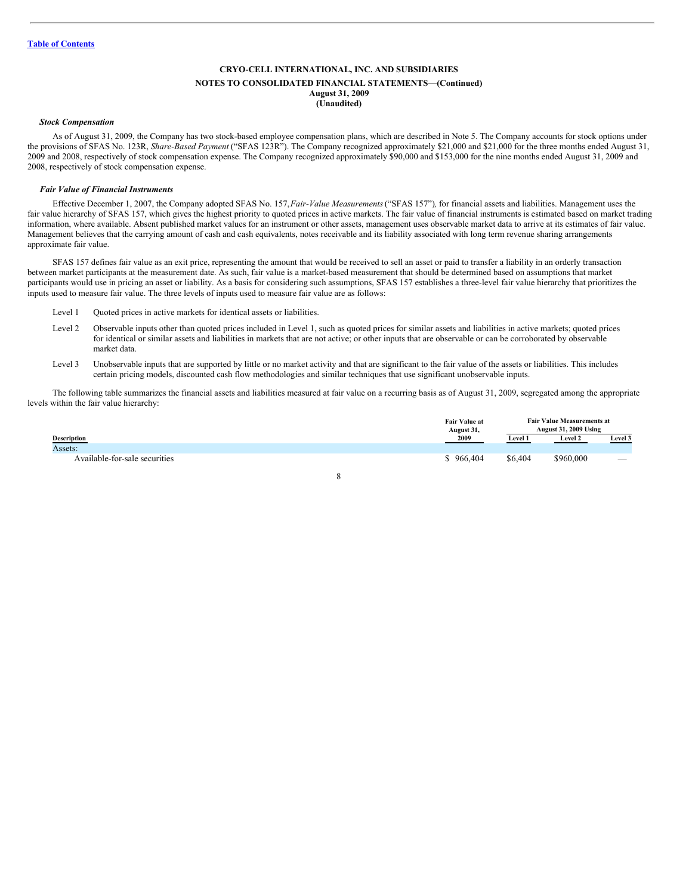#### **NOTES TO CONSOLIDATED FINANCIAL STATEMENTS—(Continued) August 31, 2009 (Unaudited)**

#### *Stock Compensation*

As of August 31, 2009, the Company has two stock-based employee compensation plans, which are described in Note 5. The Company accounts for stock options under the provisions of SFAS No. 123R, *Share-Based Payment* ("SFAS 123R"). The Company recognized approximately \$21,000 and \$21,000 for the three months ended August 31, 2009 and 2008, respectively of stock compensation expense. The Company recognized approximately \$90,000 and \$153,000 for the nine months ended August 31, 2009 and 2008, respectively of stock compensation expense.

#### *Fair Value of Financial Instruments*

Effective December 1, 2007, the Company adopted SFAS No. 157,*Fair-Value Measurements*("SFAS 157")*,* for financial assets and liabilities. Management uses the fair value hierarchy of SFAS 157, which gives the highest priority to quoted prices in active markets. The fair value of financial instruments is estimated based on market trading information, where available. Absent published market values for an instrument or other assets, management uses observable market data to arrive at its estimates of fair value. Management believes that the carrying amount of cash and cash equivalents, notes receivable and its liability associated with long term revenue sharing arrangements approximate fair value.

SFAS 157 defines fair value as an exit price, representing the amount that would be received to sell an asset or paid to transfer a liability in an orderly transaction between market participants at the measurement date. As such, fair value is a market-based measurement that should be determined based on assumptions that market participants would use in pricing an asset or liability. As a basis for considering such assumptions, SFAS 157 establishes a three-level fair value hierarchy that prioritizes the inputs used to measure fair value. The three levels of inputs used to measure fair value are as follows:

- Level 1 Quoted prices in active markets for identical assets or liabilities.
- Level 2 Observable inputs other than quoted prices included in Level 1, such as quoted prices for similar assets and liabilities in active markets; quoted prices for identical or similar assets and liabilities in markets that are not active; or other inputs that are observable or can be corroborated by observable market data.
- Level 3 Unobservable inputs that are supported by little or no market activity and that are significant to the fair value of the assets or liabilities. This includes certain pricing models, discounted cash flow methodologies and similar techniques that use significant unobservable inputs.

The following table summarizes the financial assets and liabilities measured at fair value on a recurring basis as of August 31, 2009, segregated among the appropriate levels within the fair value hierarchy:

|                               | <b>Fair Value at</b><br>August 31, | <b>Fair Value Measurements at</b><br><b>August 31, 2009 Using</b> |                |                          |
|-------------------------------|------------------------------------|-------------------------------------------------------------------|----------------|--------------------------|
| <b>Description</b>            | 2009                               | Level 1                                                           | <b>Level 2</b> | Level 3                  |
| Assets:                       |                                    |                                                                   |                |                          |
| Available-for-sale securities | \$966,404                          | \$6,404                                                           | \$960,000      | $\overline{\phantom{a}}$ |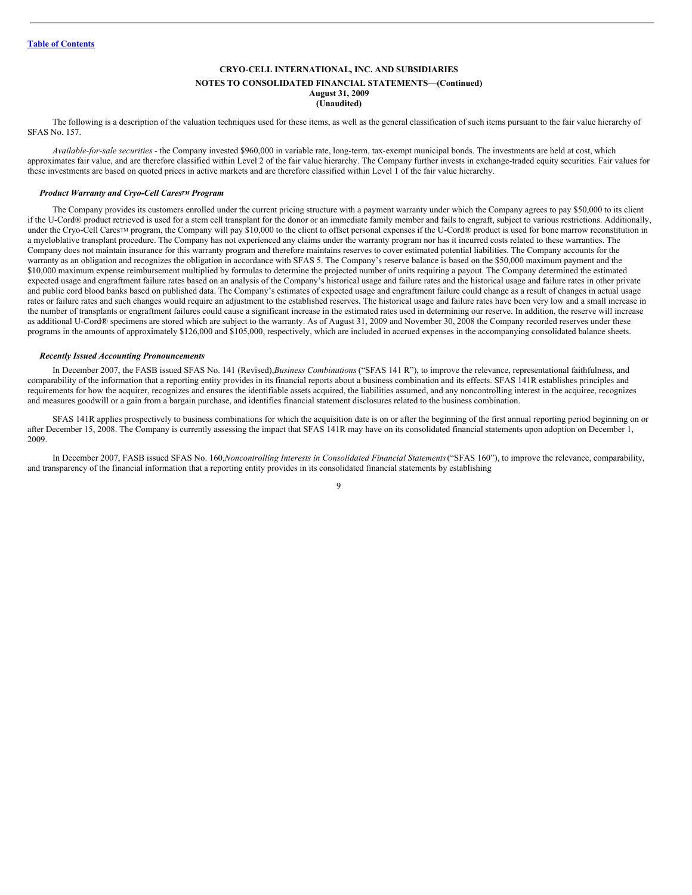### **NOTES TO CONSOLIDATED FINANCIAL STATEMENTS—(Continued) August 31, 2009**

**(Unaudited)**

The following is a description of the valuation techniques used for these items, as well as the general classification of such items pursuant to the fair value hierarchy of SFAS No. 157.

*Available-for-sale securities* - the Company invested \$960,000 in variable rate, long-term, tax-exempt municipal bonds. The investments are held at cost, which approximates fair value, and are therefore classified within Level 2 of the fair value hierarchy. The Company further invests in exchange-traded equity securities. Fair values for these investments are based on quoted prices in active markets and are therefore classified within Level 1 of the fair value hierarchy.

#### *Product Warranty and Cryo-Cell Cares<sup>TM</sup> Program*

The Company provides its customers enrolled under the current pricing structure with a payment warranty under which the Company agrees to pay \$50,000 to its client if the U-Cord® product retrieved is used for a stem cell transplant for the donor or an immediate family member and fails to engraft, subject to various restrictions. Additionally, under the Cryo-Cell Cares<sup>TM</sup> program, the Company will pay \$10,000 to the client to offset personal expenses if the U-Cord® product is used for bone marrow reconstitution in a myeloblative transplant procedure. The Company has not experienced any claims under the warranty program nor has it incurred costs related to these warranties. The Company does not maintain insurance for this warranty program and therefore maintains reserves to cover estimated potential liabilities. The Company accounts for the warranty as an obligation and recognizes the obligation in accordance with SFAS 5. The Company's reserve balance is based on the \$50,000 maximum payment and the \$10,000 maximum expense reimbursement multiplied by formulas to determine the projected number of units requiring a payout. The Company determined the estimated expected usage and engraftment failure rates based on an analysis of the Company's historical usage and failure rates and the historical usage and failure rates in other private and public cord blood banks based on published data. The Company's estimates of expected usage and engraftment failure could change as a result of changes in actual usage rates or failure rates and such changes would require an adjustment to the established reserves. The historical usage and failure rates have been very low and a small increase in the number of transplants or engraftment failures could cause a significant increase in the estimated rates used in determining our reserve. In addition, the reserve will increase as additional U-Cord® specimens are stored which are subject to the warranty. As of August 31, 2009 and November 30, 2008 the Company recorded reserves under these programs in the amounts of approximately \$126,000 and \$105,000, respectively, which are included in accrued expenses in the accompanying consolidated balance sheets.

#### *Recently Issued Accounting Pronouncements*

In December 2007, the FASB issued SFAS No. 141 (Revised),*Business Combinations* ("SFAS 141 R"), to improve the relevance, representational faithfulness, and comparability of the information that a reporting entity provides in its financial reports about a business combination and its effects. SFAS 141R establishes principles and requirements for how the acquirer, recognizes and ensures the identifiable assets acquired, the liabilities assumed, and any noncontrolling interest in the acquiree, recognizes and measures goodwill or a gain from a bargain purchase, and identifies financial statement disclosures related to the business combination.

SFAS 141R applies prospectively to business combinations for which the acquisition date is on or after the beginning of the first annual reporting period beginning on or after December 15, 2008. The Company is currently assessing the impact that SFAS 141R may have on its consolidated financial statements upon adoption on December 1, 2009.

In December 2007, FASB issued SFAS No. 160,*Noncontrolling Interests in Consolidated Financial Statements*("SFAS 160"), to improve the relevance, comparability, and transparency of the financial information that a reporting entity provides in its consolidated financial statements by establishing

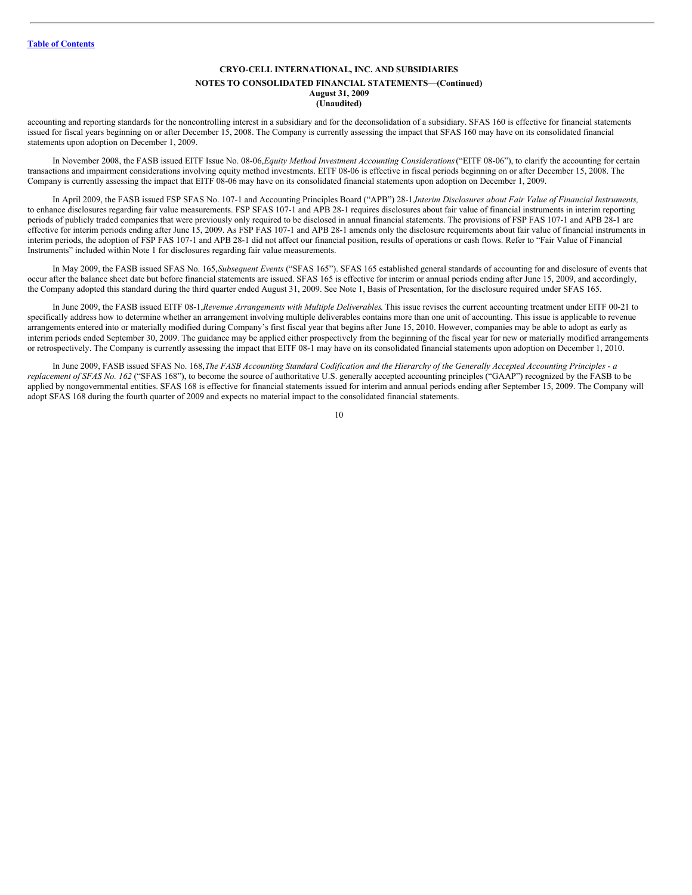#### **NOTES TO CONSOLIDATED FINANCIAL STATEMENTS—(Continued) August 31, 2009 (Unaudited)**

accounting and reporting standards for the noncontrolling interest in a subsidiary and for the deconsolidation of a subsidiary. SFAS 160 is effective for financial statements issued for fiscal years beginning on or after December 15, 2008. The Company is currently assessing the impact that SFAS 160 may have on its consolidated financial statements upon adoption on December 1, 2009.

In November 2008, the FASB issued EITF Issue No. 08-06,*Equity Method Investment Accounting Considerations*("EITF 08-06"), to clarify the accounting for certain transactions and impairment considerations involving equity method investments. EITF 08-06 is effective in fiscal periods beginning on or after December 15, 2008. The Company is currently assessing the impact that EITF 08-06 may have on its consolidated financial statements upon adoption on December 1, 2009.

In April 2009, the FASB issued FSP SFAS No. 107-1 and Accounting Principles Board ("APB") 28-1,*Interim Disclosures about Fair Value of Financial Instruments,* to enhance disclosures regarding fair value measurements. FSP SFAS 107-1 and APB 28-1 requires disclosures about fair value of financial instruments in interim reporting periods of publicly traded companies that were previously only required to be disclosed in annual financial statements. The provisions of FSP FAS 107-1 and APB 28-1 are effective for interim periods ending after June 15, 2009. As FSP FAS 107-1 and APB 28-1 amends only the disclosure requirements about fair value of financial instruments in interim periods, the adoption of FSP FAS 107-1 and APB 28-1 did not affect our financial position, results of operations or cash flows. Refer to "Fair Value of Financial Instruments" included within Note 1 for disclosures regarding fair value measurements.

In May 2009, the FASB issued SFAS No. 165,*Subsequent Events* ("SFAS 165"). SFAS 165 established general standards of accounting for and disclosure of events that occur after the balance sheet date but before financial statements are issued. SFAS 165 is effective for interim or annual periods ending after June 15, 2009, and accordingly, the Company adopted this standard during the third quarter ended August 31, 2009. See Note 1, Basis of Presentation, for the disclosure required under SFAS 165.

In June 2009, the FASB issued EITF 08-1,*Revenue Arrangements with Multiple Deliverables*. This issue revises the current accounting treatment under EITF 00-21 to specifically address how to determine whether an arrangement involving multiple deliverables contains more than one unit of accounting. This issue is applicable to revenue arrangements entered into or materially modified during Company's first fiscal year that begins after June 15, 2010. However, companies may be able to adopt as early as interim periods ended September 30, 2009. The guidance may be applied either prospectively from the beginning of the fiscal year for new or materially modified arrangements or retrospectively. The Company is currently assessing the impact that EITF 08-1 may have on its consolidated financial statements upon adoption on December 1, 2010.

In June 2009, FASB issued SFAS No. 168, The FASB Accounting Standard Codification and the Hierarchy of the Generally Accepted Accounting Principles - a *replacement of SFAS No. 162* ("SFAS 168"), to become the source of authoritative U.S. generally accepted accounting principles ("GAAP") recognized by the FASB to be applied by nongovernmental entities. SFAS 168 is effective for financial statements issued for interim and annual periods ending after September 15, 2009. The Company will adopt SFAS 168 during the fourth quarter of 2009 and expects no material impact to the consolidated financial statements.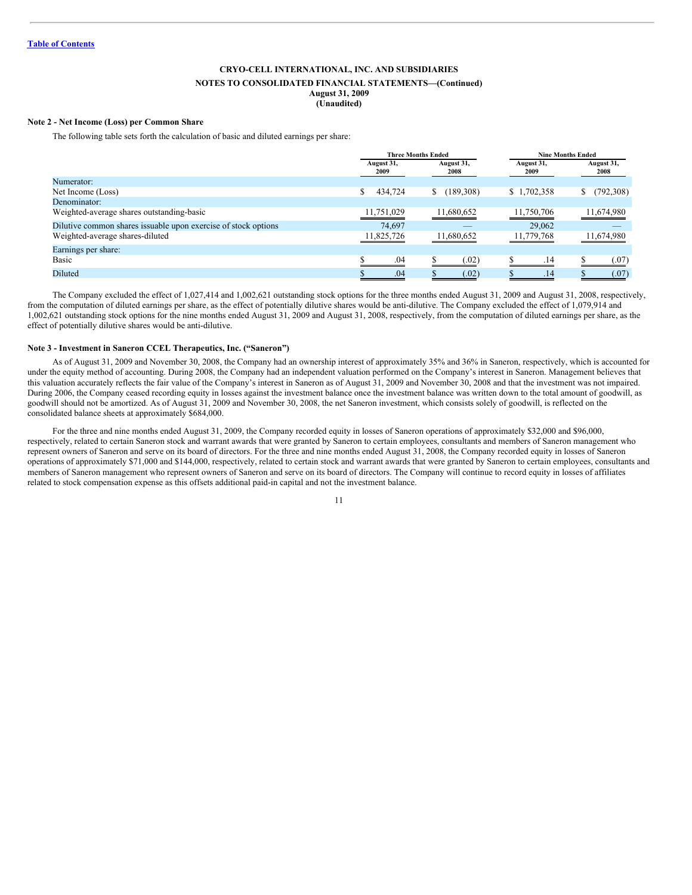#### **NOTES TO CONSOLIDATED FINANCIAL STATEMENTS—(Continued) August 31, 2009**

**(Unaudited)**

#### **Note 2 - Net Income (Loss) per Common Share**

The following table sets forth the calculation of basic and diluted earnings per share:

|                                                                |                    | <b>Three Months Ended</b> |                    | <b>Nine Months Ended</b> |
|----------------------------------------------------------------|--------------------|---------------------------|--------------------|--------------------------|
|                                                                | August 31,<br>2009 | August 31,<br>2008        | August 31,<br>2009 | August 31,<br>2008       |
| Numerator:                                                     |                    |                           |                    |                          |
| Net Income (Loss)                                              | 434,724            | (189, 308)<br>S.          | \$1,702,358        | (792, 308)<br>S.         |
| Denominator:                                                   |                    |                           |                    |                          |
| Weighted-average shares outstanding-basic                      | 11,751,029         | 11,680,652                | 11,750,706         | 11,674,980               |
| Dilutive common shares issuable upon exercise of stock options | 74.697             | $-$                       | 29,062             | $-$                      |
| Weighted-average shares-diluted                                | 11,825,726         | 11,680,652                | 11,779,768         | 11,674,980               |
| Earnings per share:                                            |                    |                           |                    |                          |
| Basic                                                          | .04                | (0.02)                    | .14                | (07)                     |
| Diluted                                                        | .04                | (.02)                     | .14                | (.07)                    |
|                                                                |                    |                           |                    |                          |

The Company excluded the effect of 1,027,414 and 1,002,621 outstanding stock options for the three months ended August 31, 2009 and August 31, 2008, respectively, from the computation of diluted earnings per share, as the effect of potentially dilutive shares would be anti-dilutive. The Company excluded the effect of 1,079,914 and 1,002,621 outstanding stock options for the nine months ended August 31, 2009 and August 31, 2008, respectively, from the computation of diluted earnings per share, as the effect of potentially dilutive shares would be anti-dilutive.

#### **Note 3 - Investment in Saneron CCEL Therapeutics, Inc. ("Saneron")**

As of August 31, 2009 and November 30, 2008, the Company had an ownership interest of approximately 35% and 36% in Saneron, respectively, which is accounted for under the equity method of accounting. During 2008, the Company had an independent valuation performed on the Company's interest in Saneron. Management believes that this valuation accurately reflects the fair value of the Company's interest in Saneron as of August 31, 2009 and November 30, 2008 and that the investment was not impaired. During 2006, the Company ceased recording equity in losses against the investment balance once the investment balance was written down to the total amount of goodwill, as goodwill should not be amortized. As of August 31, 2009 and November 30, 2008, the net Saneron investment, which consists solely of goodwill, is reflected on the consolidated balance sheets at approximately \$684,000.

For the three and nine months ended August 31, 2009, the Company recorded equity in losses of Saneron operations of approximately \$32,000 and \$96,000, respectively, related to certain Saneron stock and warrant awards that were granted by Saneron to certain employees, consultants and members of Saneron management who represent owners of Saneron and serve on its board of directors. For the three and nine months ended August 31, 2008, the Company recorded equity in losses of Saneron operations of approximately \$71,000 and \$144,000, respectively, related to certain stock and warrant awards that were granted by Saneron to certain employees, consultants and members of Saneron management who represent owners of Saneron and serve on its board of directors. The Company will continue to record equity in losses of affiliates related to stock compensation expense as this offsets additional paid-in capital and not the investment balance.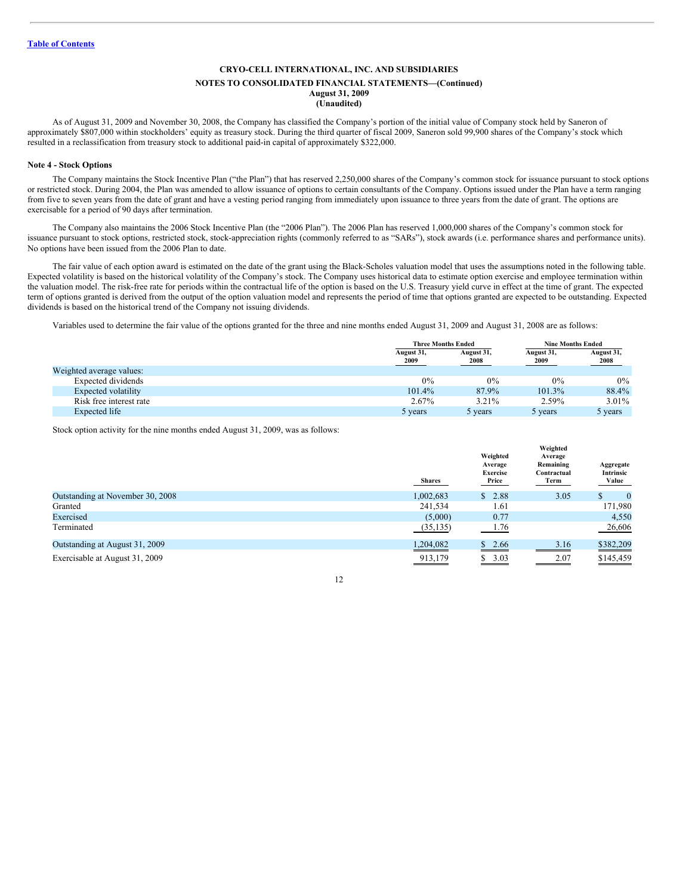#### **NOTES TO CONSOLIDATED FINANCIAL STATEMENTS—(Continued) August 31, 2009 (Unaudited)**

As of August 31, 2009 and November 30, 2008, the Company has classified the Company's portion of the initial value of Company stock held by Saneron of approximately \$807,000 within stockholders' equity as treasury stock. During the third quarter of fiscal 2009, Saneron sold 99,900 shares of the Company's stock which resulted in a reclassification from treasury stock to additional paid-in capital of approximately \$322,000.

#### **Note 4 - Stock Options**

The Company maintains the Stock Incentive Plan ("the Plan") that has reserved 2,250,000 shares of the Company's common stock for issuance pursuant to stock options or restricted stock. During 2004, the Plan was amended to allow issuance of options to certain consultants of the Company. Options issued under the Plan have a term ranging from five to seven years from the date of grant and have a vesting period ranging from immediately upon issuance to three years from the date of grant. The options are exercisable for a period of 90 days after termination.

The Company also maintains the 2006 Stock Incentive Plan (the "2006 Plan"). The 2006 Plan has reserved 1,000,000 shares of the Company's common stock for issuance pursuant to stock options, restricted stock, stock-appreciation rights (commonly referred to as "SARs"), stock awards (i.e. performance shares and performance units). No options have been issued from the 2006 Plan to date.

The fair value of each option award is estimated on the date of the grant using the Black-Scholes valuation model that uses the assumptions noted in the following table. Expected volatility is based on the historical volatility of the Company's stock. The Company uses historical data to estimate option exercise and employee termination within the valuation model. The risk-free rate for periods within the contractual life of the option is based on the U.S. Treasury yield curve in effect at the time of grant. The expected term of options granted is derived from the output of the option valuation model and represents the period of time that options granted are expected to be outstanding. Expected dividends is based on the historical trend of the Company not issuing dividends.

Variables used to determine the fair value of the options granted for the three and nine months ended August 31, 2009 and August 31, 2008 are as follows:

|                          |                    | <b>Three Months Ended</b> |                    | <b>Nine Months Ended</b> |
|--------------------------|--------------------|---------------------------|--------------------|--------------------------|
|                          | August 31,<br>2009 | August 31,<br>2008        | August 31,<br>2009 | August 31,<br>2008       |
| Weighted average values: |                    |                           |                    |                          |
| Expected dividends       | 0%                 | 0%                        | 0%                 | $0\%$                    |
| Expected volatility      | 101.4%             | 87.9%                     | 101.3%             | 88.4%                    |
| Risk free interest rate  | 2.67%              | 3.21%                     | 2.59%              | $3.01\%$                 |
| Expected life            | 5 years            | 5 years                   | 5 years            | 5 years                  |

Stock option activity for the nine months ended August 31, 2009, was as follows:

|                                  | <b>Shares</b> | Weighted<br>Average<br>Exercise<br>Price | Weighted<br>Average<br>Remaining<br>Contractual<br>Term | Aggregate<br>Intrinsic<br>Value |
|----------------------------------|---------------|------------------------------------------|---------------------------------------------------------|---------------------------------|
| Outstanding at November 30, 2008 | 1,002,683     | 2.88<br>S.                               | 3.05                                                    | $\bf{0}$<br>S                   |
| Granted                          | 241.534       | 1.61                                     |                                                         | 171,980                         |
| Exercised                        | (5,000)       | 0.77                                     |                                                         | 4,550                           |
| Terminated                       | (35, 135)     | 1.76                                     |                                                         | 26,606                          |
| Outstanding at August 31, 2009   | 1,204,082     | S.<br>2.66                               | 3.16                                                    | \$382,209                       |
| Exercisable at August 31, 2009   | 913,179       | 3.03<br>S.                               | 2.07                                                    | \$145,459                       |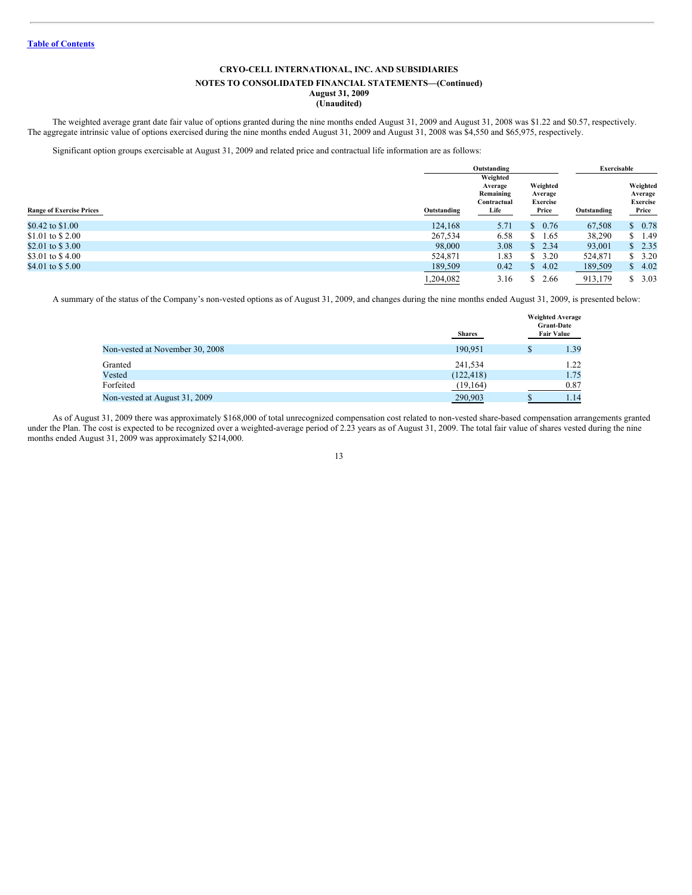# **NOTES TO CONSOLIDATED FINANCIAL STATEMENTS—(Continued)**

#### **August 31, 2009 (Unaudited)**

The weighted average grant date fair value of options granted during the nine months ended August 31, 2009 and August 31, 2008 was \$1.22 and \$0.57, respectively. The aggregate intrinsic value of options exercised during the nine months ended August 31, 2009 and August 31, 2008 was \$4,550 and \$65,975, respectively.

Significant option groups exercisable at August 31, 2009 and related price and contractual life information are as follows:

|                                 |             | Outstanding                                             |                                                 | Exercisable |                                          |
|---------------------------------|-------------|---------------------------------------------------------|-------------------------------------------------|-------------|------------------------------------------|
| <b>Range of Exercise Prices</b> | Outstanding | Weighted<br>Average<br>Remaining<br>Contractual<br>Life | Weighted<br>Average<br><b>Exercise</b><br>Price | Outstanding | Weighted<br>Average<br>Exercise<br>Price |
| \$0.42 to \$1.00                | 124,168     | 5.71                                                    | \$0.76                                          | 67,508      | 0.78<br>\$                               |
| \$1.01 to \$2.00                | 267,534     | 6.58                                                    | 1.65<br>S.                                      | 38,290      | 1.49<br>S                                |
| \$2.01 to \$3.00                | 98,000      | 3.08                                                    | \$2.34                                          | 93,001      | 2.35<br>\$                               |
| \$3.01 to \$4.00                | 524,871     | 1.83                                                    | \$3.20                                          | 524,871     | 3.20<br>\$                               |
| \$4.01 to \$5.00                | 189,509     | 0.42                                                    | \$4.02                                          | 189,509     | 4.02<br>\$                               |
|                                 | 1.204.082   | 3.16                                                    | 2.66                                            | 913,179     | 3.03<br>S                                |

A summary of the status of the Company's non-vested options as of August 31, 2009, and changes during the nine months ended August 31, 2009, is presented below:

|                                 | <b>Shares</b> |    | <b>Weighted Average</b><br><b>Grant-Date</b><br><b>Fair Value</b> |
|---------------------------------|---------------|----|-------------------------------------------------------------------|
| Non-vested at November 30, 2008 | 190.951       | \$ | 1.39                                                              |
| Granted                         | 241.534       |    | 1.22                                                              |
| Vested                          | (122, 418)    |    | 1.75                                                              |
| Forfeited                       | (19, 164)     |    | 0.87                                                              |
| Non-vested at August 31, 2009   | 290,903       | D  | 1.14                                                              |

As of August 31, 2009 there was approximately \$168,000 of total unrecognized compensation cost related to non-vested share-based compensation arrangements granted under the Plan. The cost is expected to be recognized over a weighted-average period of 2.23 years as of August 31, 2009. The total fair value of shares vested during the nine months ended August 31, 2009 was approximately \$214,000.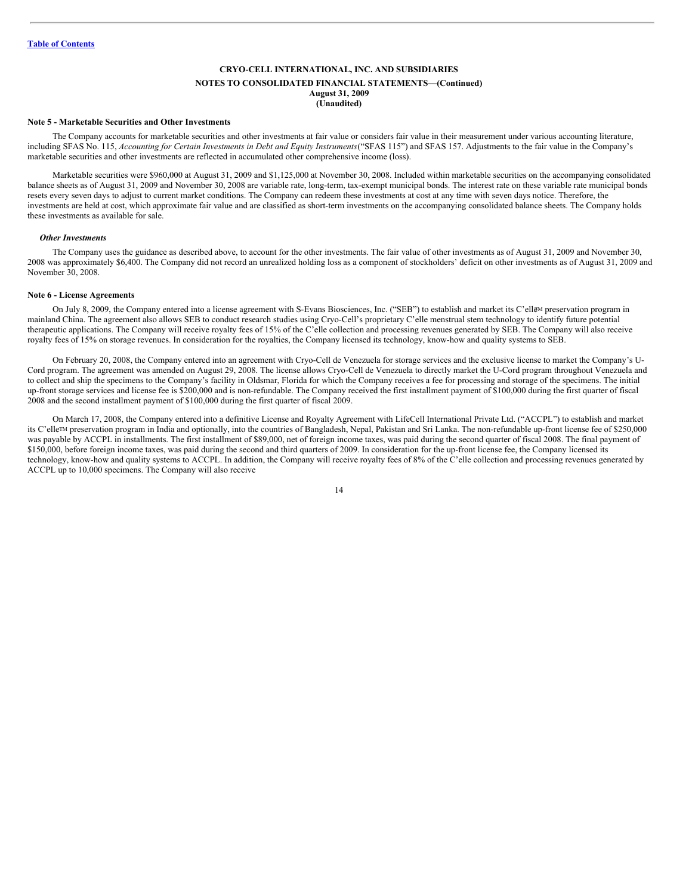#### **CRYO-CELL INTERNATIONAL, INC. AND SUBSIDIARIES NOTES TO CONSOLIDATED FINANCIAL STATEMENTS—(Continued) August 31, 2009 (Unaudited)**

#### **Note 5 - Marketable Securities and Other Investments**

The Company accounts for marketable securities and other investments at fair value or considers fair value in their measurement under various accounting literature, including SFAS No. 115, Accounting for Certain Investments in Debt and Equity Instruments ("SFAS 115") and SFAS 157. Adjustments to the fair value in the Company's marketable securities and other investments are reflected in accumulated other comprehensive income (loss).

Marketable securities were \$960,000 at August 31, 2009 and \$1,125,000 at November 30, 2008. Included within marketable securities on the accompanying consolidated balance sheets as of August 31, 2009 and November 30, 2008 are variable rate, long-term, tax-exempt municipal bonds. The interest rate on these variable rate municipal bonds resets every seven days to adjust to current market conditions. The Company can redeem these investments at cost at any time with seven days notice. Therefore, the investments are held at cost, which approximate fair value and are classified as short-term investments on the accompanying consolidated balance sheets. The Company holds these investments as available for sale.

#### *Other Investments*

The Company uses the guidance as described above, to account for the other investments. The fair value of other investments as of August 31, 2009 and November 30, 2008 was approximately \$6,400. The Company did not record an unrealized holding loss as a component of stockholders' deficit on other investments as of August 31, 2009 and November 30, 2008.

#### **Note 6 - License Agreements**

On July 8, 2009, the Company entered into a license agreement with S-Evans Biosciences, Inc. ("SEB") to establish and market its C'elle<sup>M</sup> preservation program in mainland China. The agreement also allows SEB to conduct research studies using Cryo-Cell's proprietary C'elle menstrual stem technology to identify future potential therapeutic applications. The Company will receive royalty fees of 15% of the C'elle collection and processing revenues generated by SEB. The Company will also receive royalty fees of 15% on storage revenues. In consideration for the royalties, the Company licensed its technology, know-how and quality systems to SEB.

On February 20, 2008, the Company entered into an agreement with Cryo-Cell de Venezuela for storage services and the exclusive license to market the Company's U-Cord program. The agreement was amended on August 29, 2008. The license allows Cryo-Cell de Venezuela to directly market the U-Cord program throughout Venezuela and to collect and ship the specimens to the Company's facility in Oldsmar, Florida for which the Company receives a fee for processing and storage of the specimens. The initial up-front storage services and license fee is \$200,000 and is non-refundable. The Company received the first installment payment of \$100,000 during the first quarter of fiscal 2008 and the second installment payment of \$100,000 during the first quarter of fiscal 2009.

On March 17, 2008, the Company entered into a definitive License and Royalty Agreement with LifeCell International Private Ltd. ("ACCPL") to establish and market its C'elle™ preservation program in India and optionally, into the countries of Bangladesh, Nepal, Pakistan and Sri Lanka. The non-refundable up-front license fee of \$250,000 was payable by ACCPL in installments. The first installment of \$89,000, net of foreign income taxes, was paid during the second quarter of fiscal 2008. The final payment of \$150,000, before foreign income taxes, was paid during the second and third quarters of 2009. In consideration for the up-front license fee, the Company licensed its technology, know-how and quality systems to ACCPL. In addition, the Company will receive royalty fees of 8% of the C'elle collection and processing revenues generated by ACCPL up to 10,000 specimens. The Company will also receive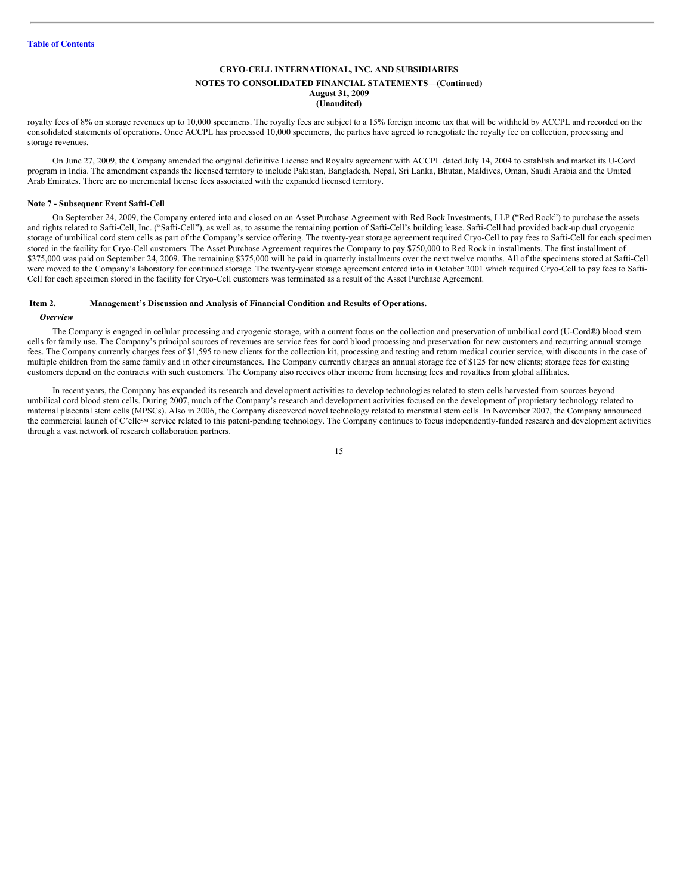#### **NOTES TO CONSOLIDATED FINANCIAL STATEMENTS—(Continued) August 31, 2009 (Unaudited)**

royalty fees of 8% on storage revenues up to 10,000 specimens. The royalty fees are subject to a 15% foreign income tax that will be withheld by ACCPL and recorded on the consolidated statements of operations. Once ACCPL has processed 10,000 specimens, the parties have agreed to renegotiate the royalty fee on collection, processing and storage revenues.

On June 27, 2009, the Company amended the original definitive License and Royalty agreement with ACCPL dated July 14, 2004 to establish and market its U-Cord program in India. The amendment expands the licensed territory to include Pakistan, Bangladesh, Nepal, Sri Lanka, Bhutan, Maldives, Oman, Saudi Arabia and the United Arab Emirates. There are no incremental license fees associated with the expanded licensed territory.

#### **Note 7 - Subsequent Event Safti-Cell**

On September 24, 2009, the Company entered into and closed on an Asset Purchase Agreement with Red Rock Investments, LLP ("Red Rock") to purchase the assets and rights related to Safti-Cell, Inc. ("Safti-Cell"), as well as, to assume the remaining portion of Safti-Cell's building lease. Safti-Cell had provided back-up dual cryogenic storage of umbilical cord stem cells as part of the Company's service offering. The twenty-year storage agreement required Cryo-Cell to pay fees to Safti-Cell for each specimen stored in the facility for Cryo-Cell customers. The Asset Purchase Agreement requires the Company to pay \$750,000 to Red Rock in installments. The first installment of \$375,000 was paid on September 24, 2009. The remaining \$375,000 will be paid in quarterly installments over the next twelve months. All of the specimens stored at Safti-Cell were moved to the Company's laboratory for continued storage. The twenty-year storage agreement entered into in October 2001 which required Cryo-Cell to pay fees to Safti-Cell for each specimen stored in the facility for Cryo-Cell customers was terminated as a result of the Asset Purchase Agreement.

#### <span id="page-14-0"></span>**Item 2. Management's Discussion and Analysis of Financial Condition and Results of Operations.**

#### *Overview*

The Company is engaged in cellular processing and cryogenic storage, with a current focus on the collection and preservation of umbilical cord (U-Cord®) blood stem cells for family use. The Company's principal sources of revenues are service fees for cord blood processing and preservation for new customers and recurring annual storage fees. The Company currently charges fees of \$1,595 to new clients for the collection kit, processing and testing and return medical courier service, with discounts in the case of multiple children from the same family and in other circumstances. The Company currently charges an annual storage fee of \$125 for new clients; storage fees for existing customers depend on the contracts with such customers. The Company also receives other income from licensing fees and royalties from global affiliates.

In recent years, the Company has expanded its research and development activities to develop technologies related to stem cells harvested from sources beyond umbilical cord blood stem cells. During 2007, much of the Company's research and development activities focused on the development of proprietary technology related to maternal placental stem cells (MPSCs). Also in 2006, the Company discovered novel technology related to menstrual stem cells. In November 2007, the Company announced the commercial launch of C'ellesM service related to this patent-pending technology. The Company continues to focus independently-funded research and development activities through a vast network of research collaboration partners.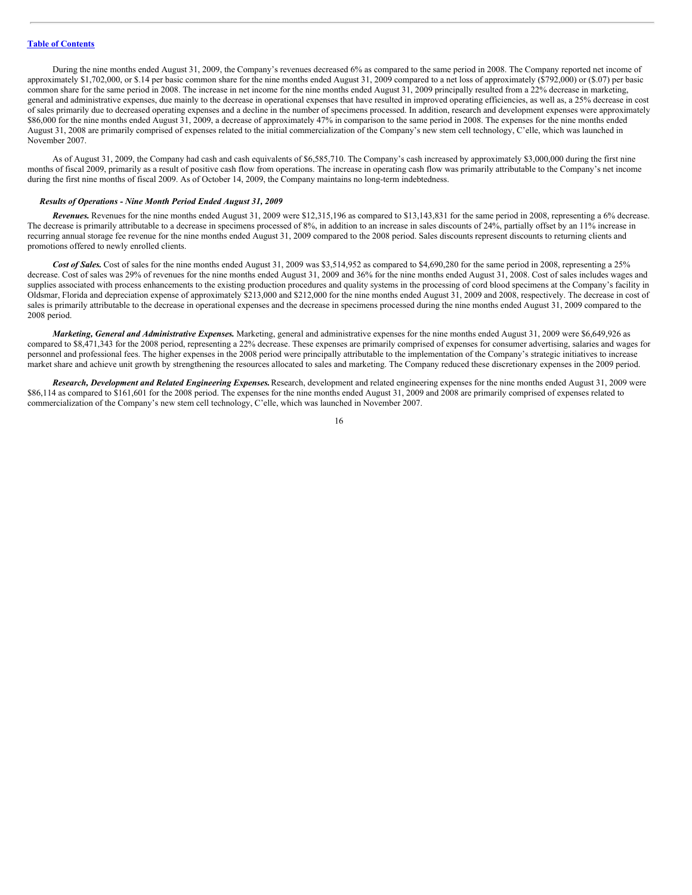During the nine months ended August 31, 2009, the Company's revenues decreased 6% as compared to the same period in 2008. The Company reported net income of approximately \$1,702,000, or \$.14 per basic common share for the nine months ended August 31, 2009 compared to a net loss of approximately (\$792,000) or (\$.07) per basic common share for the same period in 2008. The increase in net income for the nine months ended August 31, 2009 principally resulted from a 22% decrease in marketing, general and administrative expenses, due mainly to the decrease in operational expenses that have resulted in improved operating efficiencies, as well as, a 25% decrease in cost of sales primarily due to decreased operating expenses and a decline in the number of specimens processed. In addition, research and development expenses were approximately \$86,000 for the nine months ended August 31, 2009, a decrease of approximately 47% in comparison to the same period in 2008. The expenses for the nine months ended August 31, 2008 are primarily comprised of expenses related to the initial commercialization of the Company's new stem cell technology, C'elle, which was launched in November 2007.

As of August 31, 2009, the Company had cash and cash equivalents of \$6,585,710. The Company's cash increased by approximately \$3,000,000 during the first nine months of fiscal 2009, primarily as a result of positive cash flow from operations. The increase in operating cash flow was primarily attributable to the Company's net income during the first nine months of fiscal 2009. As of October 14, 2009, the Company maintains no long-term indebtedness.

#### *Results of Operations - Nine Month Period Ended August 31, 2009*

*Revenues.* Revenues for the nine months ended August 31, 2009 were \$12,315,196 as compared to \$13,143,831 for the same period in 2008, representing a 6% decrease. The decrease is primarily attributable to a decrease in specimens processed of 8%, in addition to an increase in sales discounts of 24%, partially offset by an 11% increase in recurring annual storage fee revenue for the nine months ended August 31, 2009 compared to the 2008 period. Sales discounts represent discounts to returning clients and promotions offered to newly enrolled clients.

*Cost of Sales.* Cost of sales for the nine months ended August 31, 2009 was \$3,514,952 as compared to \$4,690,280 for the same period in 2008, representing a 25% decrease. Cost of sales was 29% of revenues for the nine months ended August 31, 2009 and 36% for the nine months ended August 31, 2008. Cost of sales includes wages and supplies associated with process enhancements to the existing production procedures and quality systems in the processing of cord blood specimens at the Company's facility in Oldsmar, Florida and depreciation expense of approximately \$213,000 and \$212,000 for the nine months ended August 31, 2009 and 2008, respectively. The decrease in cost of sales is primarily attributable to the decrease in operational expenses and the decrease in specimens processed during the nine months ended August 31, 2009 compared to the 2008 period.

*Marketing, General and Administrative Expenses.* Marketing, general and administrative expenses for the nine months ended August 31, 2009 were \$6,649,926 as compared to \$8,471,343 for the 2008 period, representing a 22% decrease. These expenses are primarily comprised of expenses for consumer advertising, salaries and wages for personnel and professional fees. The higher expenses in the 2008 period were principally attributable to the implementation of the Company's strategic initiatives to increase market share and achieve unit growth by strengthening the resources allocated to sales and marketing. The Company reduced these discretionary expenses in the 2009 period.

*Research, Development and Related Engineering Expenses.*Research, development and related engineering expenses for the nine months ended August 31, 2009 were \$86,114 as compared to \$161,601 for the 2008 period. The expenses for the nine months ended August 31, 2009 and 2008 are primarily comprised of expenses related to commercialization of the Company's new stem cell technology, C'elle, which was launched in November 2007.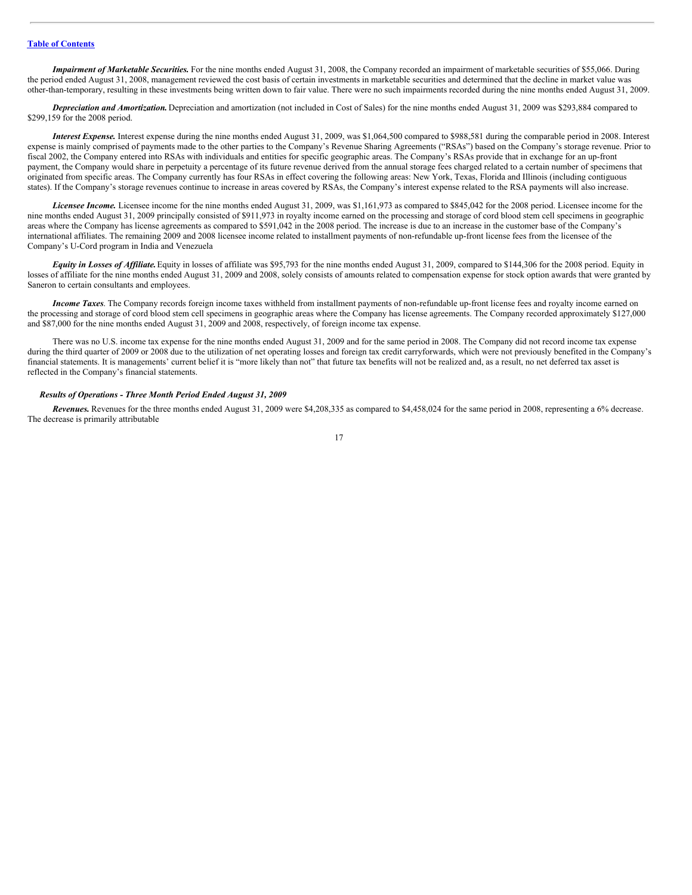*Impairment of Marketable Securities.* For the nine months ended August 31, 2008, the Company recorded an impairment of marketable securities of \$55,066. During the period ended August 31, 2008, management reviewed the cost basis of certain investments in marketable securities and determined that the decline in market value was other-than-temporary, resulting in these investments being written down to fair value. There were no such impairments recorded during the nine months ended August 31, 2009.

*Depreciation and Amortization.* Depreciation and amortization (not included in Cost of Sales) for the nine months ended August 31, 2009 was \$293,884 compared to \$299,159 for the 2008 period.

*Interest Expense.* Interest expense during the nine months ended August 31, 2009, was \$1,064,500 compared to \$988,581 during the comparable period in 2008. Interest expense is mainly comprised of payments made to the other parties to the Company's Revenue Sharing Agreements ("RSAs") based on the Company's storage revenue. Prior to fiscal 2002, the Company entered into RSAs with individuals and entities for specific geographic areas. The Company's RSAs provide that in exchange for an up-front payment, the Company would share in perpetuity a percentage of its future revenue derived from the annual storage fees charged related to a certain number of specimens that originated from specific areas. The Company currently has four RSAs in effect covering the following areas: New York, Texas, Florida and Illinois (including contiguous states). If the Company's storage revenues continue to increase in areas covered by RSAs, the Company's interest expense related to the RSA payments will also increase.

*Licensee Income.* Licensee income for the nine months ended August 31, 2009, was \$1,161,973 as compared to \$845,042 for the 2008 period. Licensee income for the nine months ended August 31, 2009 principally consisted of \$911,973 in royalty income earned on the processing and storage of cord blood stem cell specimens in geographic areas where the Company has license agreements as compared to \$591,042 in the 2008 period. The increase is due to an increase in the customer base of the Company's international affiliates. The remaining 2009 and 2008 licensee income related to installment payments of non-refundable up-front license fees from the licensee of the Company's U-Cord program in India and Venezuela

*Equity in Losses of Af iliate.*Equity in losses of affiliate was \$95,793 for the nine months ended August 31, 2009, compared to \$144,306 for the 2008 period. Equity in losses of affiliate for the nine months ended August 31, 2009 and 2008, solely consists of amounts related to compensation expense for stock option awards that were granted by Saneron to certain consultants and employees.

*Income Taxes*. The Company records foreign income taxes withheld from installment payments of non-refundable up-front license fees and royalty income earned on the processing and storage of cord blood stem cell specimens in geographic areas where the Company has license agreements. The Company recorded approximately \$127,000 and \$87,000 for the nine months ended August 31, 2009 and 2008, respectively, of foreign income tax expense.

There was no U.S. income tax expense for the nine months ended August 31, 2009 and for the same period in 2008. The Company did not record income tax expense during the third quarter of 2009 or 2008 due to the utilization of net operating losses and foreign tax credit carryforwards, which were not previously benefited in the Company's financial statements. It is managements' current belief it is "more likely than not" that future tax benefits will not be realized and, as a result, no net deferred tax asset is reflected in the Company's financial statements.

#### *Results of Operations - Three Month Period Ended August 31, 2009*

*Revenues.* Revenues for the three months ended August 31, 2009 were \$4,208,335 as compared to \$4,458,024 for the same period in 2008, representing a 6% decrease. The decrease is primarily attributable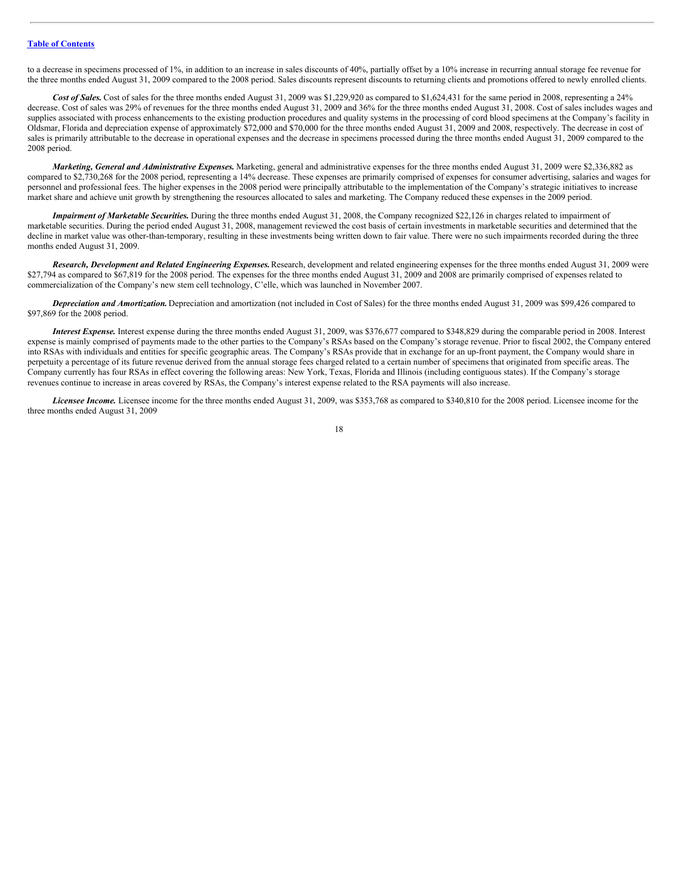to a decrease in specimens processed of 1%, in addition to an increase in sales discounts of 40%, partially offset by a 10% increase in recurring annual storage fee revenue for the three months ended August 31, 2009 compared to the 2008 period. Sales discounts represent discounts to returning clients and promotions offered to newly enrolled clients.

Cost of Sales. Cost of sales for the three months ended August 31, 2009 was \$1,229,920 as compared to \$1,624,431 for the same period in 2008, representing a 24% decrease. Cost of sales was 29% of revenues for the three months ended August 31, 2009 and 36% for the three months ended August 31, 2008. Cost of sales includes wages and supplies associated with process enhancements to the existing production procedures and quality systems in the processing of cord blood specimens at the Company's facility in Oldsmar, Florida and depreciation expense of approximately \$72,000 and \$70,000 for the three months ended August 31, 2009 and 2008, respectively. The decrease in cost of sales is primarily attributable to the decrease in operational expenses and the decrease in specimens processed during the three months ended August 31, 2009 compared to the 2008 period.

*Marketing, General and Administrative Expenses.* Marketing, general and administrative expenses for the three months ended August 31, 2009 were \$2,336,882 as compared to \$2,730,268 for the 2008 period, representing a 14% decrease. These expenses are primarily comprised of expenses for consumer advertising, salaries and wages for personnel and professional fees. The higher expenses in the 2008 period were principally attributable to the implementation of the Company's strategic initiatives to increase market share and achieve unit growth by strengthening the resources allocated to sales and marketing. The Company reduced these expenses in the 2009 period.

*Impairment of Marketable Securities.* During the three months ended August 31, 2008, the Company recognized \$22,126 in charges related to impairment of marketable securities. During the period ended August 31, 2008, management reviewed the cost basis of certain investments in marketable securities and determined that the decline in market value was other-than-temporary, resulting in these investments being written down to fair value. There were no such impairments recorded during the three months ended August 31, 2009.

*Research, Development and Related Engineering Expenses.*Research, development and related engineering expenses for the three months ended August 31, 2009 were \$27,794 as compared to \$67,819 for the 2008 period. The expenses for the three months ended August 31, 2009 and 2008 are primarily comprised of expenses related to commercialization of the Company's new stem cell technology, C'elle, which was launched in November 2007.

*Depreciation and Amortization.* Depreciation and amortization (not included in Cost of Sales) for the three months ended August 31, 2009 was \$99,426 compared to \$97,869 for the 2008 period.

*Interest Expense.* Interest expense during the three months ended August 31, 2009, was \$376,677 compared to \$348,829 during the comparable period in 2008. Interest expense is mainly comprised of payments made to the other parties to the Company's RSAs based on the Company's storage revenue. Prior to fiscal 2002, the Company entered into RSAs with individuals and entities for specific geographic areas. The Company's RSAs provide that in exchange for an up-front payment, the Company would share in perpetuity a percentage of its future revenue derived from the annual storage fees charged related to a certain number of specimens that originated from specific areas. The Company currently has four RSAs in effect covering the following areas: New York, Texas, Florida and Illinois (including contiguous states). If the Company's storage revenues continue to increase in areas covered by RSAs, the Company's interest expense related to the RSA payments will also increase.

*Licensee Income.* Licensee income for the three months ended August 31, 2009, was \$353,768 as compared to \$340,810 for the 2008 period. Licensee income for the three months ended August 31, 2009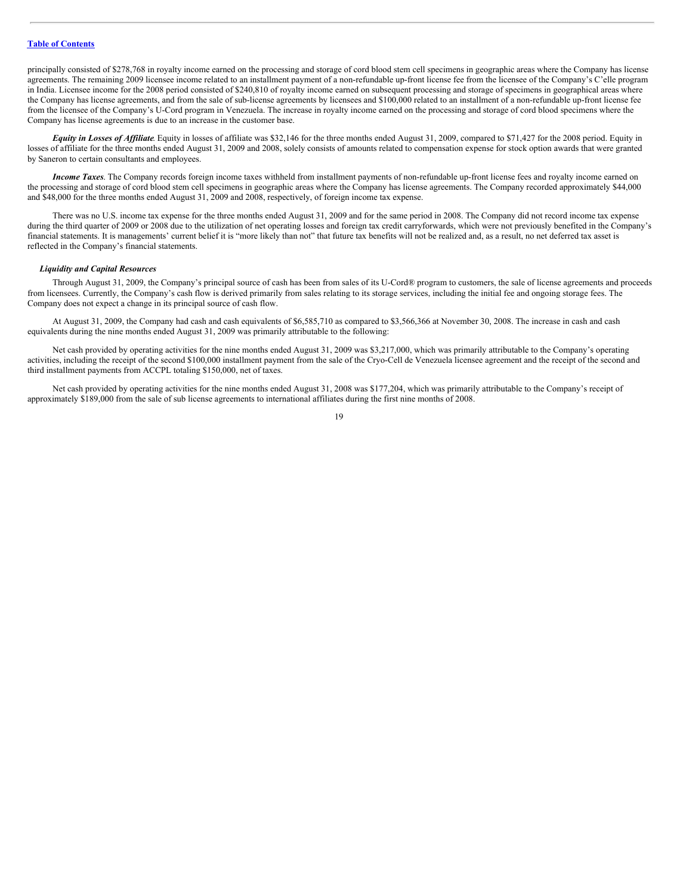principally consisted of \$278,768 in royalty income earned on the processing and storage of cord blood stem cell specimens in geographic areas where the Company has license agreements. The remaining 2009 licensee income related to an installment payment of a non-refundable up-front license fee from the licensee of the Company's C'elle program in India. Licensee income for the 2008 period consisted of \$240,810 of royalty income earned on subsequent processing and storage of specimens in geographical areas where the Company has license agreements, and from the sale of sub-license agreements by licensees and \$100,000 related to an installment of a non-refundable up-front license fee from the licensee of the Company's U-Cord program in Venezuela. The increase in royalty income earned on the processing and storage of cord blood specimens where the Company has license agreements is due to an increase in the customer base.

*Equity in Losses of Af iliate*. Equity in losses of affiliate was \$32,146 for the three months ended August 31, 2009, compared to \$71,427 for the 2008 period. Equity in losses of affiliate for the three months ended August 31, 2009 and 2008, solely consists of amounts related to compensation expense for stock option awards that were granted by Saneron to certain consultants and employees.

*Income Taxes*. The Company records foreign income taxes withheld from installment payments of non-refundable up-front license fees and royalty income earned on the processing and storage of cord blood stem cell specimens in geographic areas where the Company has license agreements. The Company recorded approximately \$44,000 and \$48,000 for the three months ended August 31, 2009 and 2008, respectively, of foreign income tax expense.

There was no U.S. income tax expense for the three months ended August 31, 2009 and for the same period in 2008. The Company did not record income tax expense during the third quarter of 2009 or 2008 due to the utilization of net operating losses and foreign tax credit carryforwards, which were not previously benefited in the Company's financial statements. It is managements' current belief it is "more likely than not" that future tax benefits will not be realized and, as a result, no net deferred tax asset is reflected in the Company's financial statements.

#### *Liquidity and Capital Resources*

Through August 31, 2009, the Company's principal source of cash has been from sales of its U-Cord® program to customers, the sale of license agreements and proceeds from licensees. Currently, the Company's cash flow is derived primarily from sales relating to its storage services, including the initial fee and ongoing storage fees. The Company does not expect a change in its principal source of cash flow.

At August 31, 2009, the Company had cash and cash equivalents of \$6,585,710 as compared to \$3,566,366 at November 30, 2008. The increase in cash and cash equivalents during the nine months ended August 31, 2009 was primarily attributable to the following:

Net cash provided by operating activities for the nine months ended August 31, 2009 was \$3,217,000, which was primarily attributable to the Company's operating activities, including the receipt of the second \$100,000 installment payment from the sale of the Cryo-Cell de Venezuela licensee agreement and the receipt of the second and third installment payments from ACCPL totaling \$150,000, net of taxes.

Net cash provided by operating activities for the nine months ended August 31, 2008 was \$177,204, which was primarily attributable to the Company's receipt of approximately \$189,000 from the sale of sub license agreements to international affiliates during the first nine months of 2008.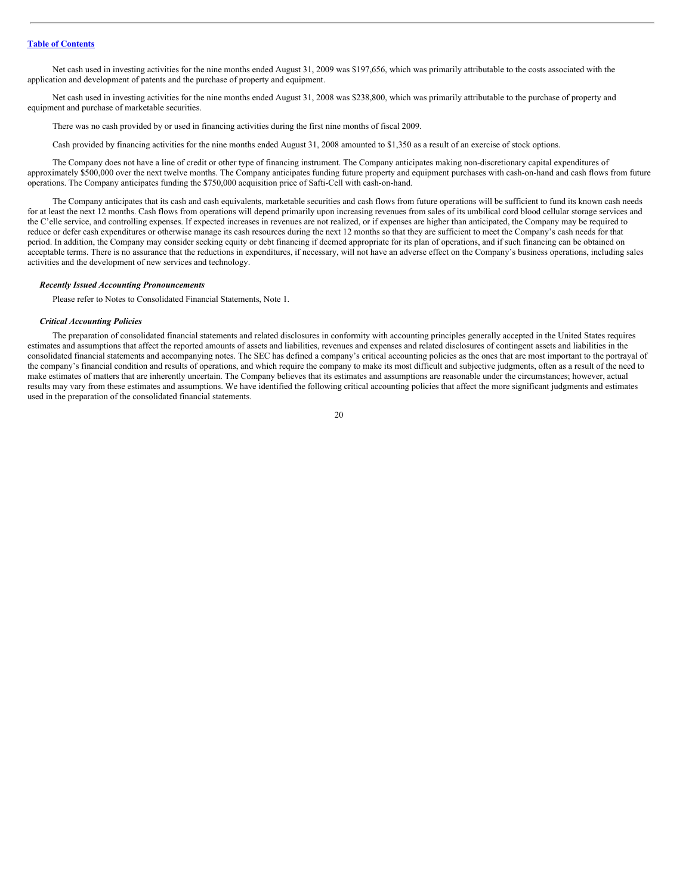Net cash used in investing activities for the nine months ended August 31, 2009 was \$197,656, which was primarily attributable to the costs associated with the application and development of patents and the purchase of property and equipment.

Net cash used in investing activities for the nine months ended August 31, 2008 was \$238,800, which was primarily attributable to the purchase of property and equipment and purchase of marketable securities.

There was no cash provided by or used in financing activities during the first nine months of fiscal 2009.

Cash provided by financing activities for the nine months ended August 31, 2008 amounted to \$1,350 as a result of an exercise of stock options.

The Company does not have a line of credit or other type of financing instrument. The Company anticipates making non-discretionary capital expenditures of approximately \$500,000 over the next twelve months. The Company anticipates funding future property and equipment purchases with cash-on-hand and cash flows from future operations. The Company anticipates funding the \$750,000 acquisition price of Safti-Cell with cash-on-hand.

The Company anticipates that its cash and cash equivalents, marketable securities and cash flows from future operations will be sufficient to fund its known cash needs for at least the next 12 months. Cash flows from operations will depend primarily upon increasing revenues from sales of its umbilical cord blood cellular storage services and the C'elle service, and controlling expenses. If expected increases in revenues are not realized, or if expenses are higher than anticipated, the Company may be required to reduce or defer cash expenditures or otherwise manage its cash resources during the next 12 months so that they are sufficient to meet the Company's cash needs for that period. In addition, the Company may consider seeking equity or debt financing if deemed appropriate for its plan of operations, and if such financing can be obtained on acceptable terms. There is no assurance that the reductions in expenditures, if necessary, will not have an adverse effect on the Company's business operations, including sales activities and the development of new services and technology.

#### *Recently Issued Accounting Pronouncements*

Please refer to Notes to Consolidated Financial Statements, Note 1.

#### *Critical Accounting Policies*

The preparation of consolidated financial statements and related disclosures in conformity with accounting principles generally accepted in the United States requires estimates and assumptions that affect the reported amounts of assets and liabilities, revenues and expenses and related disclosures of contingent assets and liabilities in the consolidated financial statements and accompanying notes. The SEC has defined a company's critical accounting policies as the ones that are most important to the portrayal of the company's financial condition and results of operations, and which require the company to make its most difficult and subjective judgments, often as a result of the need to make estimates of matters that are inherently uncertain. The Company believes that its estimates and assumptions are reasonable under the circumstances; however, actual results may vary from these estimates and assumptions. We have identified the following critical accounting policies that affect the more significant judgments and estimates used in the preparation of the consolidated financial statements.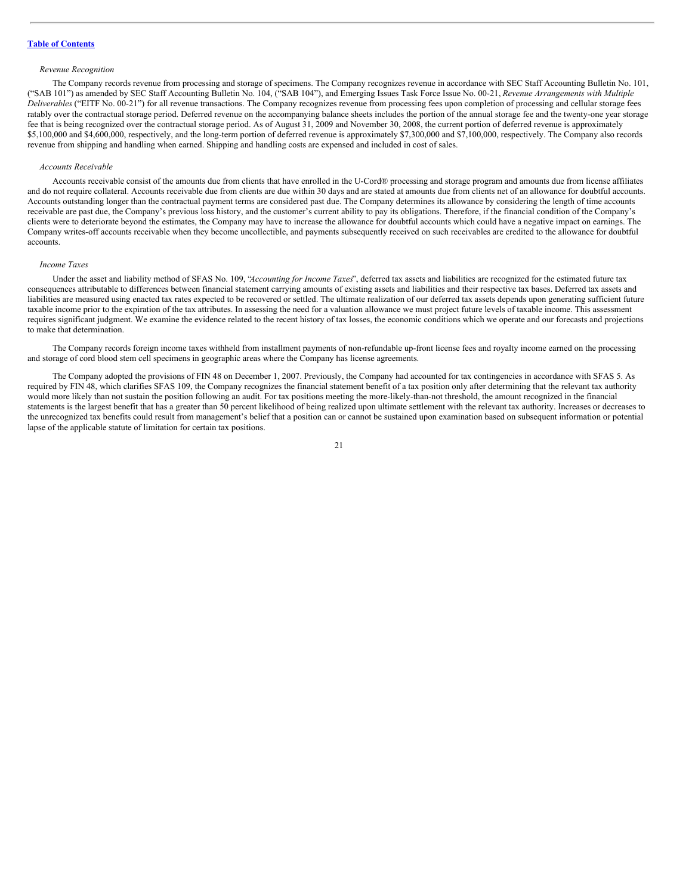#### *Revenue Recognition*

The Company records revenue from processing and storage of specimens. The Company recognizes revenue in accordance with SEC Staff Accounting Bulletin No. 101, ("SAB 101") as amended by SEC Staff Accounting Bulletin No. 104, ("SAB 104"), and Emerging Issues Task Force Issue No. 00-21, *Revenue Arrangements with Multiple Deliverables* ("EITF No. 00-21") for all revenue transactions. The Company recognizes revenue from processing fees upon completion of processing and cellular storage fees ratably over the contractual storage period. Deferred revenue on the accompanying balance sheets includes the portion of the annual storage fee and the twenty-one year storage fee that is being recognized over the contractual storage period. As of August 31, 2009 and November 30, 2008, the current portion of deferred revenue is approximately \$5,100,000 and \$4,600,000, respectively, and the long-term portion of deferred revenue is approximately \$7,300,000 and \$7,100,000, respectively. The Company also records revenue from shipping and handling when earned. Shipping and handling costs are expensed and included in cost of sales.

#### *Accounts Receivable*

Accounts receivable consist of the amounts due from clients that have enrolled in the U-Cord® processing and storage program and amounts due from license affiliates and do not require collateral. Accounts receivable due from clients are due within 30 days and are stated at amounts due from clients net of an allowance for doubtful accounts. Accounts outstanding longer than the contractual payment terms are considered past due. The Company determines its allowance by considering the length of time accounts receivable are past due, the Company's previous loss history, and the customer's current ability to pay its obligations. Therefore, if the financial condition of the Company's clients were to deteriorate beyond the estimates, the Company may have to increase the allowance for doubtful accounts which could have a negative impact on earnings. The Company writes-off accounts receivable when they become uncollectible, and payments subsequently received on such receivables are credited to the allowance for doubtful accounts.

#### *Income Taxes*

Under the asset and liability method of SFAS No. 109, "*Accounting for Income Taxes*", deferred tax assets and liabilities are recognized for the estimated future tax consequences attributable to differences between financial statement carrying amounts of existing assets and liabilities and their respective tax bases. Deferred tax assets and liabilities are measured using enacted tax rates expected to be recovered or settled. The ultimate realization of our deferred tax assets depends upon generating sufficient future taxable income prior to the expiration of the tax attributes. In assessing the need for a valuation allowance we must project future levels of taxable income. This assessment requires significant judgment. We examine the evidence related to the recent history of tax losses, the economic conditions which we operate and our forecasts and projections to make that determination.

The Company records foreign income taxes withheld from installment payments of non-refundable up-front license fees and royalty income earned on the processing and storage of cord blood stem cell specimens in geographic areas where the Company has license agreements.

The Company adopted the provisions of FIN 48 on December 1, 2007. Previously, the Company had accounted for tax contingencies in accordance with SFAS 5. As required by FIN 48, which clarifies SFAS 109, the Company recognizes the financial statement benefit of a tax position only after determining that the relevant tax authority would more likely than not sustain the position following an audit. For tax positions meeting the more-likely-than-not threshold, the amount recognized in the financial statements is the largest benefit that has a greater than 50 percent likelihood of being realized upon ultimate settlement with the relevant tax authority. Increases or decreases to the unrecognized tax benefits could result from management's belief that a position can or cannot be sustained upon examination based on subsequent information or potential lapse of the applicable statute of limitation for certain tax positions.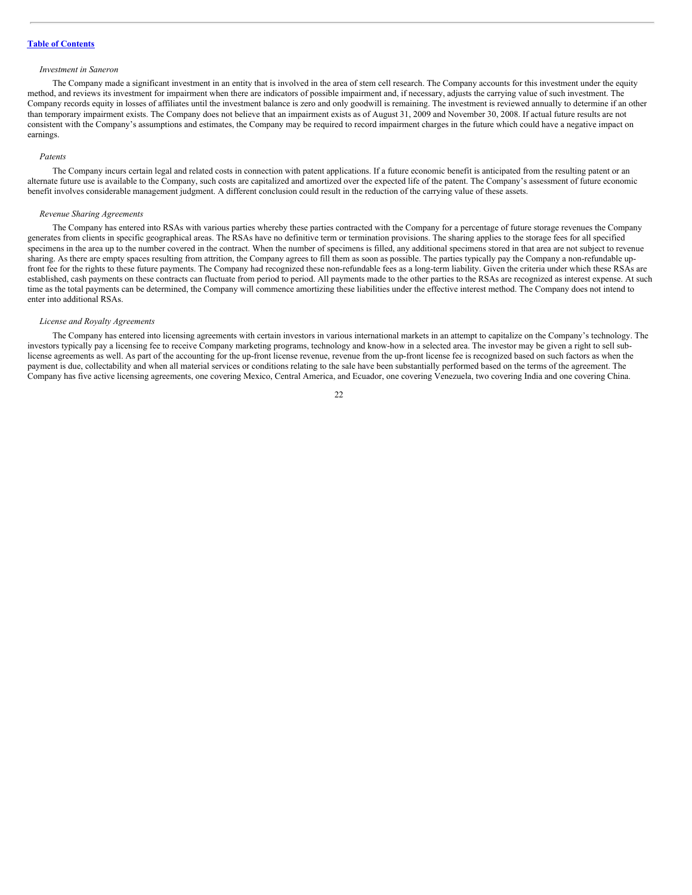#### **Table of [Contents](#page-1-0)**

#### *Investment in Saneron*

The Company made a significant investment in an entity that is involved in the area of stem cell research. The Company accounts for this investment under the equity method, and reviews its investment for impairment when there are indicators of possible impairment and, if necessary, adjusts the carrying value of such investment. The Company records equity in losses of affiliates until the investment balance is zero and only goodwill is remaining. The investment is reviewed annually to determine if an other than temporary impairment exists. The Company does not believe that an impairment exists as of August 31, 2009 and November 30, 2008. If actual future results are not consistent with the Company's assumptions and estimates, the Company may be required to record impairment charges in the future which could have a negative impact on earnings.

#### *Patents*

The Company incurs certain legal and related costs in connection with patent applications. If a future economic benefit is anticipated from the resulting patent or an alternate future use is available to the Company, such costs are capitalized and amortized over the expected life of the patent. The Company's assessment of future economic benefit involves considerable management judgment. A different conclusion could result in the reduction of the carrying value of these assets.

#### *Revenue Sharing Agreements*

The Company has entered into RSAs with various parties whereby these parties contracted with the Company for a percentage of future storage revenues the Company generates from clients in specific geographical areas. The RSAs have no definitive term or termination provisions. The sharing applies to the storage fees for all specified specimens in the area up to the number covered in the contract. When the number of specimens is filled, any additional specimens stored in that area are not subject to revenue sharing. As there are empty spaces resulting from attrition, the Company agrees to fill them as soon as possible. The parties typically pay the Company a non-refundable upfront fee for the rights to these future payments. The Company had recognized these non-refundable fees as a long-term liability. Given the criteria under which these RSAs are established, cash payments on these contracts can fluctuate from period to period. All payments made to the other parties to the RSAs are recognized as interest expense. At such time as the total payments can be determined, the Company will commence amortizing these liabilities under the effective interest method. The Company does not intend to enter into additional RSAs.

#### *License and Royalty Agreements*

The Company has entered into licensing agreements with certain investors in various international markets in an attempt to capitalize on the Company's technology. The investors typically pay a licensing fee to receive Company marketing programs, technology and know-how in a selected area. The investor may be given a right to sell sublicense agreements as well. As part of the accounting for the up-front license revenue, revenue from the up-front license fee is recognized based on such factors as when the payment is due, collectability and when all material services or conditions relating to the sale have been substantially performed based on the terms of the agreement. The Company has five active licensing agreements, one covering Mexico, Central America, and Ecuador, one covering Venezuela, two covering India and one covering China.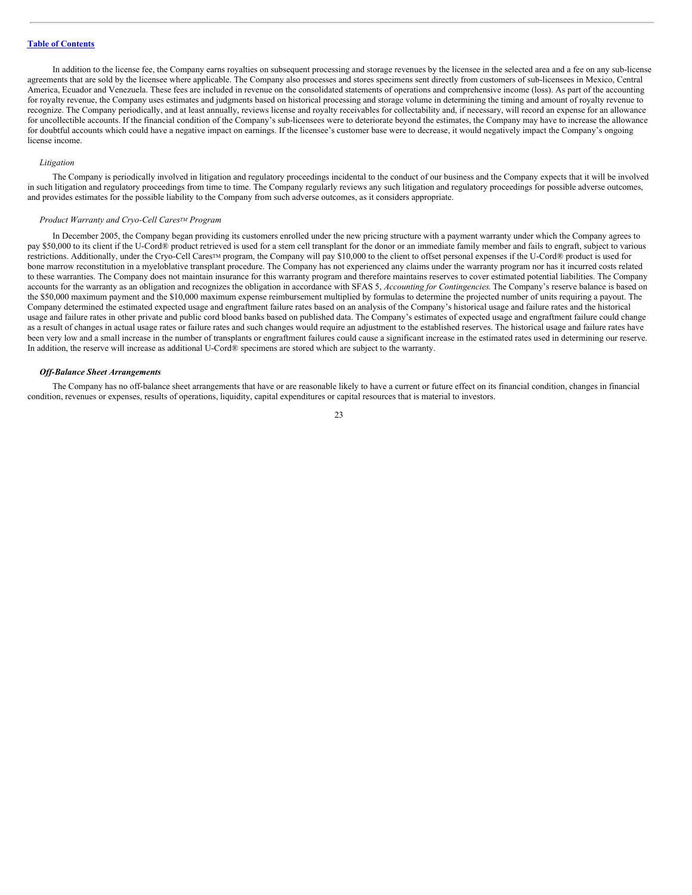In addition to the license fee, the Company earns royalties on subsequent processing and storage revenues by the licensee in the selected area and a fee on any sub-license agreements that are sold by the licensee where applicable. The Company also processes and stores specimens sent directly from customers of sub-licensees in Mexico, Central America, Ecuador and Venezuela. These fees are included in revenue on the consolidated statements of operations and comprehensive income (loss). As part of the accounting for royalty revenue, the Company uses estimates and judgments based on historical processing and storage volume in determining the timing and amount of royalty revenue to recognize. The Company periodically, and at least annually, reviews license and royalty receivables for collectability and, if necessary, will record an expense for an allowance for uncollectible accounts. If the financial condition of the Company's sub-licensees were to deteriorate beyond the estimates, the Company may have to increase the allowance for doubtful accounts which could have a negative impact on earnings. If the licensee's customer base were to decrease, it would negatively impact the Company's ongoing license income.

#### *Litigation*

The Company is periodically involved in litigation and regulatory proceedings incidental to the conduct of our business and the Company expects that it will be involved in such litigation and regulatory proceedings from time to time. The Company regularly reviews any such litigation and regulatory proceedings for possible adverse outcomes, and provides estimates for the possible liability to the Company from such adverse outcomes, as it considers appropriate.

#### *Product Warranty and Cryo-Cell Cares<sup>TM</sup> Program*

In December 2005, the Company began providing its customers enrolled under the new pricing structure with a payment warranty under which the Company agrees to pay \$50,000 to its client if the U-Cord® product retrieved is used for a stem cell transplant for the donor or an immediate family member and fails to engraft, subject to various restrictions. Additionally, under the Cryo-Cell Cares™ program, the Company will pay \$10,000 to the client to offset personal expenses if the U-Cord® product is used for bone marrow reconstitution in a myeloblative transplant procedure. The Company has not experienced any claims under the warranty program nor has it incurred costs related to these warranties. The Company does not maintain insurance for this warranty program and therefore maintains reserves to cover estimated potential liabilities. The Company accounts for the warranty as an obligation and recognizes the obligation in accordance with SFAS 5, *Accounting for Contingencies*. The Company's reserve balance is based on the \$50,000 maximum payment and the \$10,000 maximum expense reimbursement multiplied by formulas to determine the projected number of units requiring a payout. The Company determined the estimated expected usage and engraftment failure rates based on an analysis of the Company's historical usage and failure rates and the historical usage and failure rates in other private and public cord blood banks based on published data. The Company's estimates of expected usage and engraftment failure could change as a result of changes in actual usage rates or failure rates and such changes would require an adjustment to the established reserves. The historical usage and failure rates have been very low and a small increase in the number of transplants or engraftment failures could cause a significant increase in the estimated rates used in determining our reserve. In addition, the reserve will increase as additional U-Cord® specimens are stored which are subject to the warranty.

#### *Of -Balance Sheet Arrangements*

The Company has no off-balance sheet arrangements that have or are reasonable likely to have a current or future effect on its financial condition, changes in financial condition, revenues or expenses, results of operations, liquidity, capital expenditures or capital resources that is material to investors.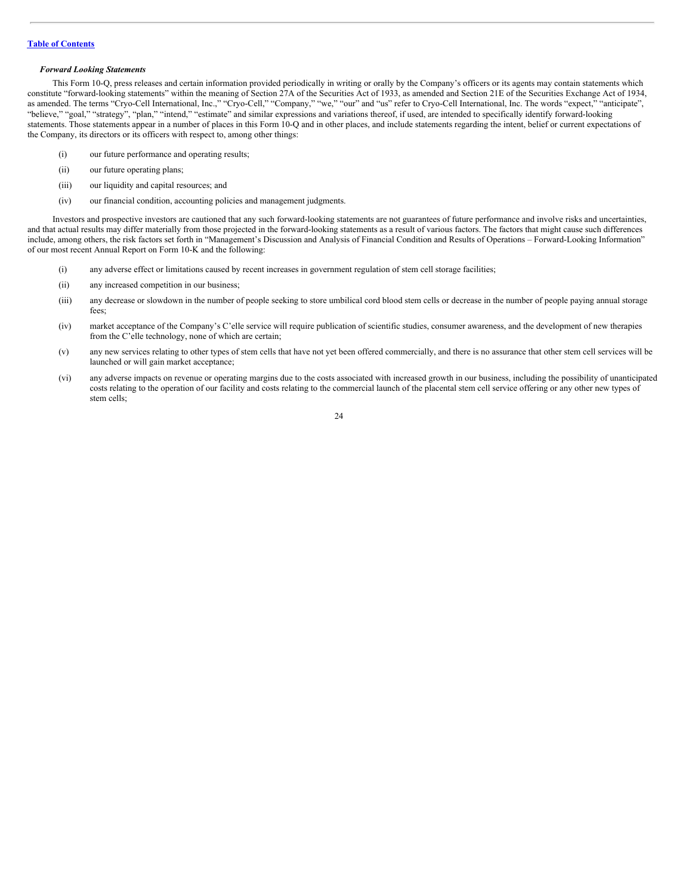#### *Forward Looking Statements*

This Form 10-Q, press releases and certain information provided periodically in writing or orally by the Company's officers or its agents may contain statements which constitute "forward-looking statements" within the meaning of Section 27A of the Securities Act of 1933, as amended and Section 21E of the Securities Exchange Act of 1934, as amended. The terms "Cryo-Cell International, Inc.," "Cryo-Cell," "Company," "we," "our" and "us" refer to Cryo-Cell International, Inc. The words "expect," "anticipate", "believe," "goal," "strategy", "plan," "intend," "estimate" and similar expressions and variations thereof, if used, are intended to specifically identify forward-looking statements. Those statements appear in a number of places in this Form 10-Q and in other places, and include statements regarding the intent, belief or current expectations of the Company, its directors or its officers with respect to, among other things:

- (i) our future performance and operating results;
- (ii) our future operating plans;
- (iii) our liquidity and capital resources; and
- (iv) our financial condition, accounting policies and management judgments.

Investors and prospective investors are cautioned that any such forward-looking statements are not guarantees of future performance and involve risks and uncertainties, and that actual results may differ materially from those projected in the forward-looking statements as a result of various factors. The factors that might cause such differences include, among others, the risk factors set forth in "Management's Discussion and Analysis of Financial Condition and Results of Operations – Forward-Looking Information" of our most recent Annual Report on Form 10-K and the following:

- (i) any adverse effect or limitations caused by recent increases in government regulation of stem cell storage facilities;
- (ii) any increased competition in our business;
- (iii) any decrease or slowdown in the number of people seeking to store umbilical cord blood stem cells or decrease in the number of people paying annual storage fees;
- (iv) market acceptance of the Company's C'elle service will require publication of scientific studies, consumer awareness, and the development of new therapies from the C'elle technology, none of which are certain;
- (v) any new services relating to other types of stem cells that have not yet been offered commercially, and there is no assurance that other stem cell services will be launched or will gain market acceptance;
- (vi) any adverse impacts on revenue or operating margins due to the costs associated with increased growth in our business, including the possibility of unanticipated costs relating to the operation of our facility and costs relating to the commercial launch of the placental stem cell service offering or any other new types of stem cells;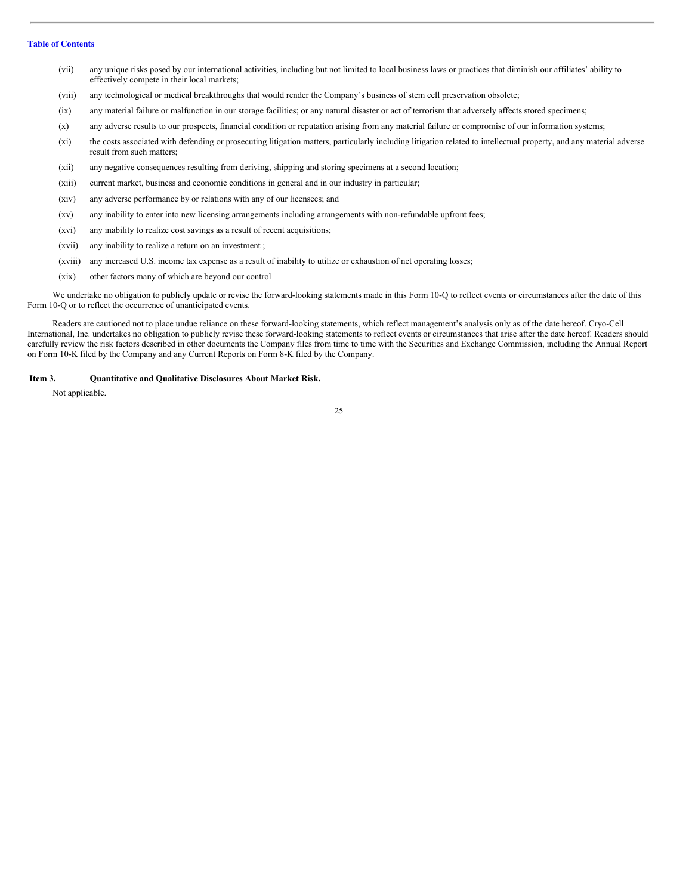- (vii) any unique risks posed by our international activities, including but not limited to local business laws or practices that diminish our affiliates' ability to effectively compete in their local markets;
- (viii) any technological or medical breakthroughs that would render the Company's business of stem cell preservation obsolete;
- (ix) any material failure or malfunction in our storage facilities; or any natural disaster or act of terrorism that adversely affects stored specimens;
- (x) any adverse results to our prospects, financial condition or reputation arising from any material failure or compromise of our information systems;
- (xi) the costs associated with defending or prosecuting litigation matters, particularly including litigation related to intellectual property, and any material adverse result from such matters;
- (xii) any negative consequences resulting from deriving, shipping and storing specimens at a second location;
- (xiii) current market, business and economic conditions in general and in our industry in particular;
- (xiv) any adverse performance by or relations with any of our licensees; and
- (xv) any inability to enter into new licensing arrangements including arrangements with non-refundable upfront fees;
- (xvi) any inability to realize cost savings as a result of recent acquisitions;
- (xvii) any inability to realize a return on an investment ;
- (xviii) any increased U.S. income tax expense as a result of inability to utilize or exhaustion of net operating losses;
- (xix) other factors many of which are beyond our control

We undertake no obligation to publicly update or revise the forward-looking statements made in this Form 10-Q to reflect events or circumstances after the date of this Form 10-Q or to reflect the occurrence of unanticipated events.

Readers are cautioned not to place undue reliance on these forward-looking statements, which reflect management's analysis only as of the date hereof. Cryo-Cell International, Inc. undertakes no obligation to publicly revise these forward-looking statements to reflect events or circumstances that arise after the date hereof. Readers should carefully review the risk factors described in other documents the Company files from time to time with the Securities and Exchange Commission, including the Annual Report on Form 10-K filed by the Company and any Current Reports on Form 8-K filed by the Company.

#### <span id="page-24-0"></span>**Item 3. Quantitative and Qualitative Disclosures About Market Risk.**

Not applicable.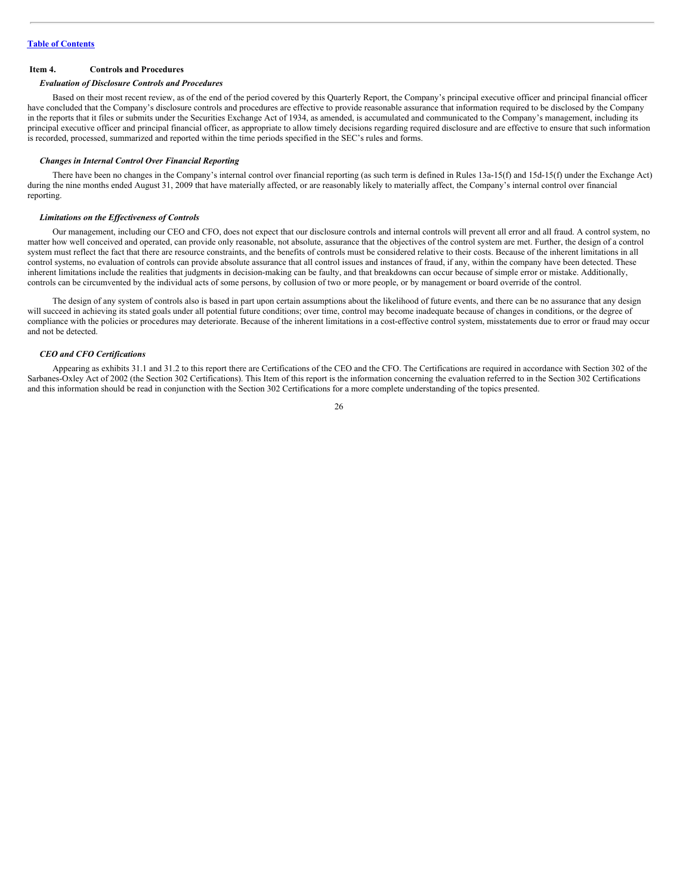#### <span id="page-25-0"></span>**Item 4. Controls and Procedures**

#### *Evaluation of Disclosure Controls and Procedures*

Based on their most recent review, as of the end of the period covered by this Quarterly Report, the Company's principal executive officer and principal financial officer have concluded that the Company's disclosure controls and procedures are effective to provide reasonable assurance that information required to be disclosed by the Company in the reports that it files or submits under the Securities Exchange Act of 1934, as amended, is accumulated and communicated to the Company's management, including its principal executive officer and principal financial officer, as appropriate to allow timely decisions regarding required disclosure and are effective to ensure that such information is recorded, processed, summarized and reported within the time periods specified in the SEC's rules and forms.

#### *Changes in Internal Control Over Financial Reporting*

There have been no changes in the Company's internal control over financial reporting (as such term is defined in Rules 13a-15(f) and 15d-15(f) under the Exchange Act) during the nine months ended August 31, 2009 that have materially affected, or are reasonably likely to materially affect, the Company's internal control over financial reporting.

#### *Limitations on the Ef ectiveness of Controls*

Our management, including our CEO and CFO, does not expect that our disclosure controls and internal controls will prevent all error and all fraud. A control system, no matter how well conceived and operated, can provide only reasonable, not absolute, assurance that the objectives of the control system are met. Further, the design of a control system must reflect the fact that there are resource constraints, and the benefits of controls must be considered relative to their costs. Because of the inherent limitations in all control systems, no evaluation of controls can provide absolute assurance that all control issues and instances of fraud, if any, within the company have been detected. These inherent limitations include the realities that judgments in decision-making can be faulty, and that breakdowns can occur because of simple error or mistake. Additionally, controls can be circumvented by the individual acts of some persons, by collusion of two or more people, or by management or board override of the control.

The design of any system of controls also is based in part upon certain assumptions about the likelihood of future events, and there can be no assurance that any design will succeed in achieving its stated goals under all potential future conditions; over time, control may become inadequate because of changes in conditions, or the degree of compliance with the policies or procedures may deteriorate. Because of the inherent limitations in a cost-effective control system, misstatements due to error or fraud may occur and not be detected.

#### *CEO and CFO Certifications*

Appearing as exhibits 31.1 and 31.2 to this report there are Certifications of the CEO and the CFO. The Certifications are required in accordance with Section 302 of the Sarbanes-Oxley Act of 2002 (the Section 302 Certifications). This Item of this report is the information concerning the evaluation referred to in the Section 302 Certifications and this information should be read in conjunction with the Section 302 Certifications for a more complete understanding of the topics presented.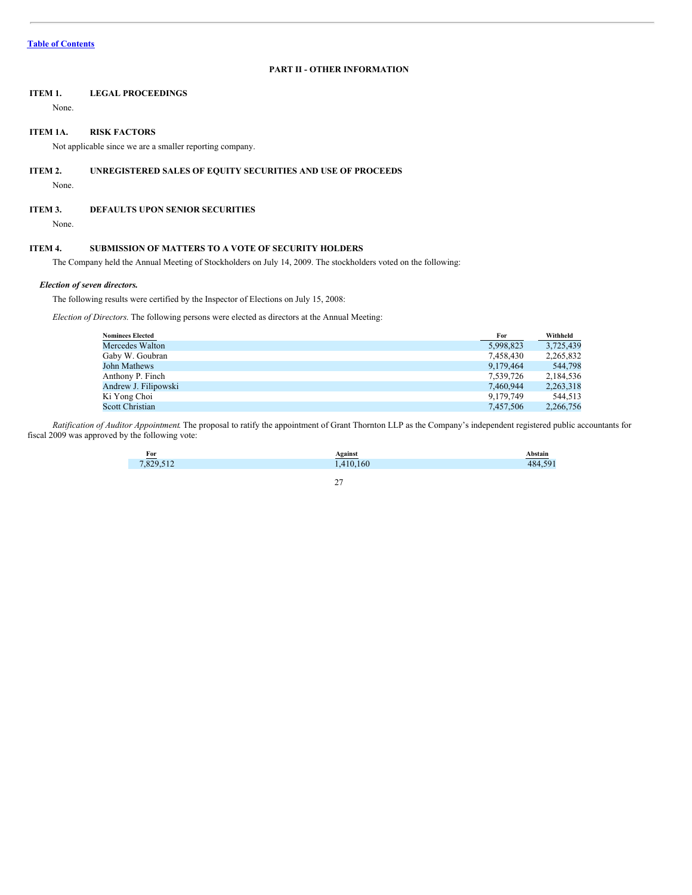# **PART II - OTHER INFORMATION**

# <span id="page-26-0"></span>**ITEM 1. LEGAL PROCEEDINGS**

None.

#### <span id="page-26-1"></span>**ITEM 1A. RISK FACTORS**

Not applicable since we are a smaller reporting company.

#### <span id="page-26-2"></span>**ITEM 2. UNREGISTERED SALES OF EQUITY SECURITIES AND USE OF PROCEEDS**

None.

#### <span id="page-26-3"></span>**ITEM 3. DEFAULTS UPON SENIOR SECURITIES**

None.

#### <span id="page-26-4"></span>**ITEM 4. SUBMISSION OF MATTERS TO A VOTE OF SECURITY HOLDERS**

The Company held the Annual Meeting of Stockholders on July 14, 2009. The stockholders voted on the following:

#### *Election of seven directors.*

The following results were certified by the Inspector of Elections on July 15, 2008:

*Election of Directors*. The following persons were elected as directors at the Annual Meeting:

| <b>Nominees Elected</b> | For       | Withheld  |
|-------------------------|-----------|-----------|
| Mercedes Walton         | 5,998,823 | 3.725.439 |
| Gaby W. Goubran         | 7.458.430 | 2,265,832 |
| John Mathews            | 9,179,464 | 544,798   |
| Anthony P. Finch        | 7,539,726 | 2,184,536 |
| Andrew J. Filipowski    | 7,460,944 | 2,263,318 |
| Ki Yong Choi            | 9.179.749 | 544.513   |
| <b>Scott Christian</b>  | 7.457.506 | 2.266.756 |

*Ratification of Auditor Appointment*. The proposal to ratify the appointment of Grant Thornton LLP as the Company's independent registered public accountants for fiscal 2009 was approved by the following vote:

| $For$ | <b>\gains</b> t |                                                                                                                        |
|-------|-----------------|------------------------------------------------------------------------------------------------------------------------|
| 70    |                 | and the state of the state of the state of the state of the state of the state of the state of the state of th<br>1011 |
|       |                 |                                                                                                                        |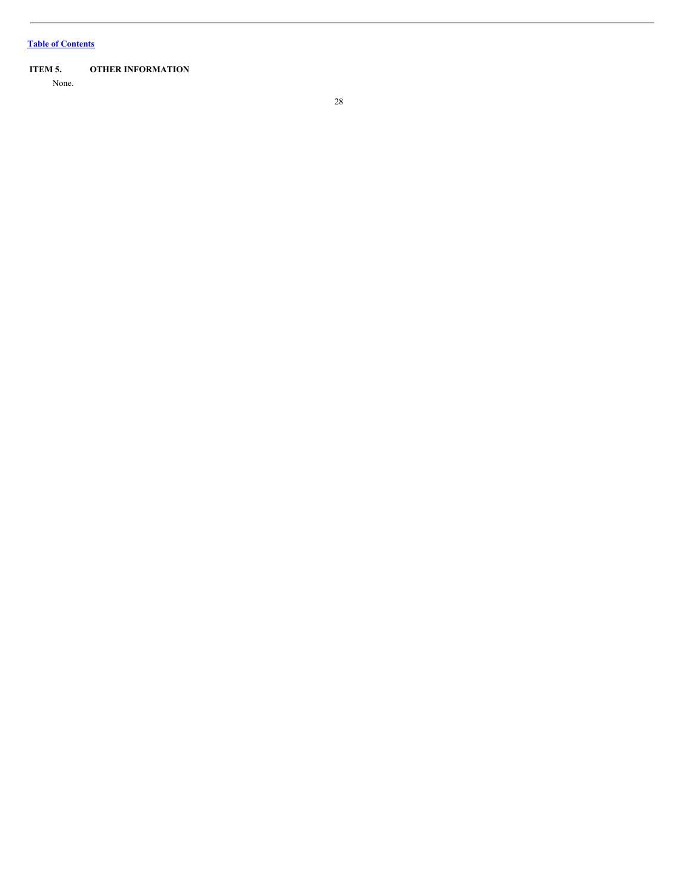# **Table of [Contents](#page-1-0)**

# <span id="page-27-0"></span>**ITEM 5. OTHER INFORMATION**

None.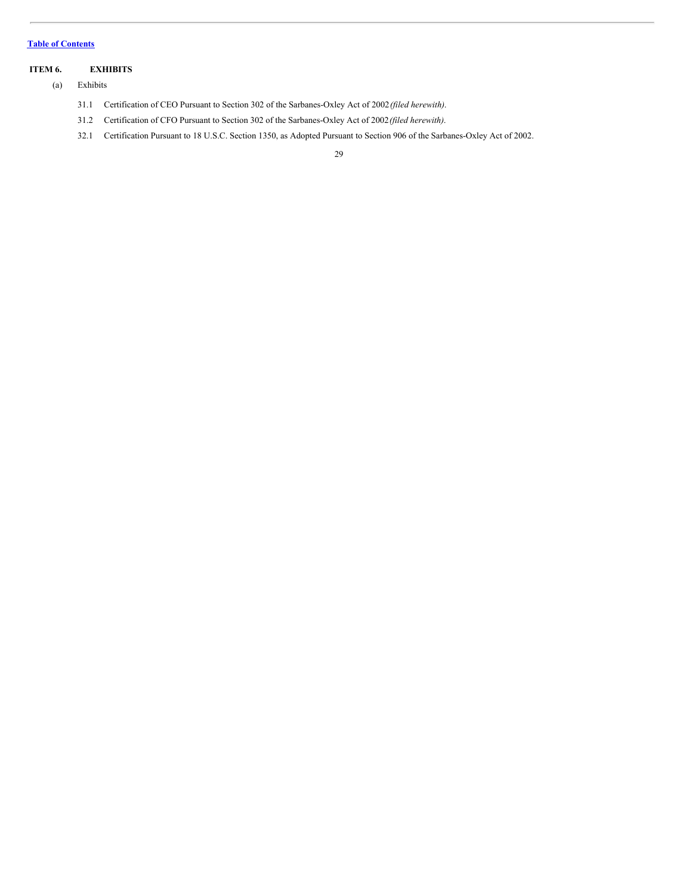### **Table of [Contents](#page-1-0)**

# <span id="page-28-0"></span>**ITEM 6. EXHIBITS**

- (a) Exhibits
	- 31.1 Certification of CEO Pursuant to Section 302 of the Sarbanes-Oxley Act of 2002*(filed herewith)*.
	- 31.2 Certification of CFO Pursuant to Section 302 of the Sarbanes-Oxley Act of 2002*(filed herewith)*.
	- 32.1 Certification Pursuant to 18 U.S.C. Section 1350, as Adopted Pursuant to Section 906 of the Sarbanes-Oxley Act of 2002.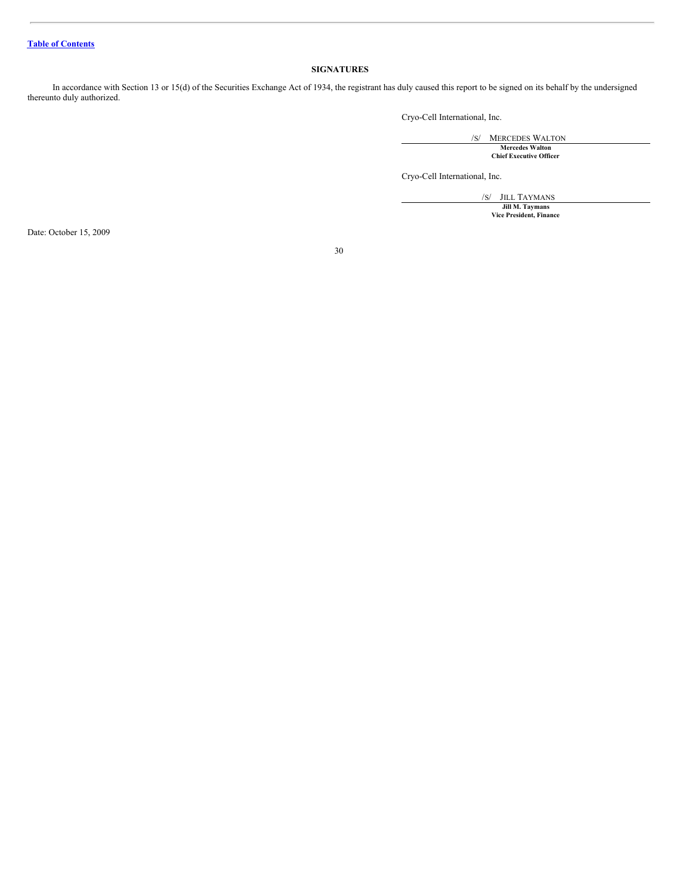# <span id="page-29-0"></span>**SIGNATURES**

In accordance with Section 13 or 15(d) of the Securities Exchange Act of 1934, the registrant has duly caused this report to be signed on its behalf by the undersigned thereunto duly authorized.

Cryo-Cell International, Inc.

/S/ MERCEDES WALTON **Mercedes Walton Chief Executive Officer**

Cryo-Cell International, Inc.

/S/ JILL TAYMANS **Jill M. Taymans Vice President, Finance**

Date: October 15, 2009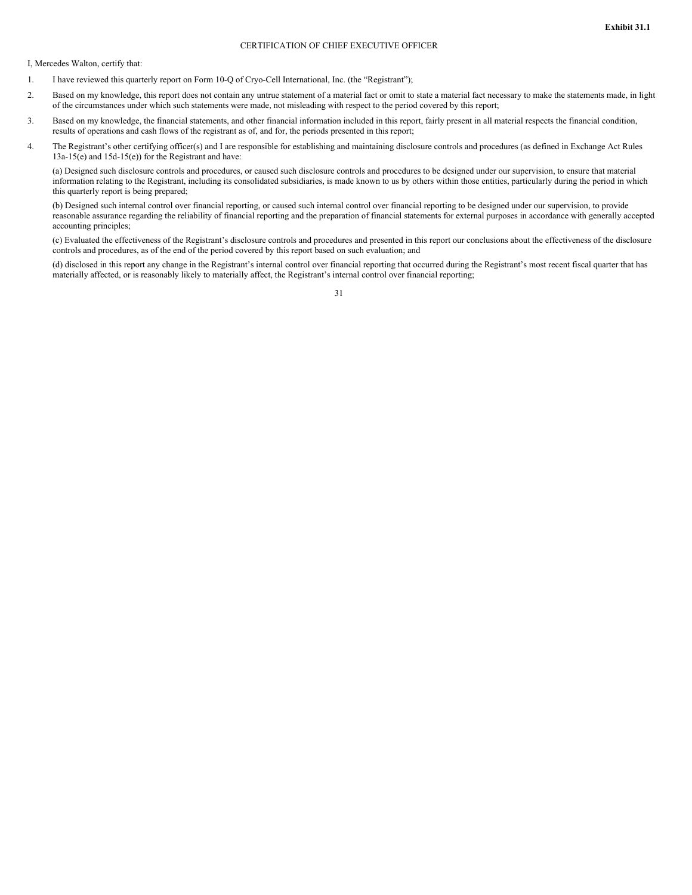# CERTIFICATION OF CHIEF EXECUTIVE OFFICER

I, Mercedes Walton, certify that:

- 1. I have reviewed this quarterly report on Form 10-Q of Cryo-Cell International, Inc. (the "Registrant");
- 2. Based on my knowledge, this report does not contain any untrue statement of a material fact or omit to state a material fact necessary to make the statements made, in light of the circumstances under which such statements were made, not misleading with respect to the period covered by this report;
- 3. Based on my knowledge, the financial statements, and other financial information included in this report, fairly present in all material respects the financial condition, results of operations and cash flows of the registrant as of, and for, the periods presented in this report;
- 4. The Registrant's other certifying officer(s) and I are responsible for establishing and maintaining disclosure controls and procedures (as defined in Exchange Act Rules 13a-15(e) and 15d-15(e)) for the Registrant and have:

(a) Designed such disclosure controls and procedures, or caused such disclosure controls and procedures to be designed under our supervision, to ensure that material information relating to the Registrant, including its consolidated subsidiaries, is made known to us by others within those entities, particularly during the period in which this quarterly report is being prepared;

(b) Designed such internal control over financial reporting, or caused such internal control over financial reporting to be designed under our supervision, to provide reasonable assurance regarding the reliability of financial reporting and the preparation of financial statements for external purposes in accordance with generally accepted accounting principles;

(c) Evaluated the effectiveness of the Registrant's disclosure controls and procedures and presented in this report our conclusions about the effectiveness of the disclosure controls and procedures, as of the end of the period covered by this report based on such evaluation; and

(d) disclosed in this report any change in the Registrant's internal control over financial reporting that occurred during the Registrant's most recent fiscal quarter that has materially affected, or is reasonably likely to materially affect, the Registrant's internal control over financial reporting;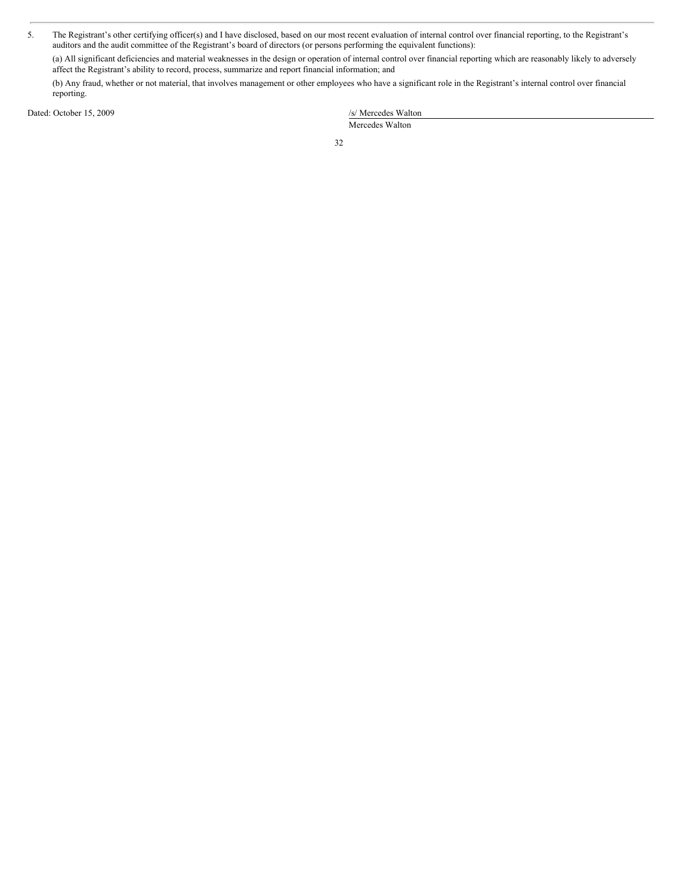5. The Registrant's other certifying officer(s) and I have disclosed, based on our most recent evaluation of internal control over financial reporting, to the Registrant's auditors and the audit committee of the Registrant's board of directors (or persons performing the equivalent functions):

(a) All significant deficiencies and material weaknesses in the design or operation of internal control over financial reporting which are reasonably likely to adversely affect the Registrant's ability to record, process, summarize and report financial information; and

(b) Any fraud, whether or not material, that involves management or other employees who have a significant role in the Registrant's internal control over financial reporting.

Dated: October 15, 2009

| /s/ Mercedes Walton |  |
|---------------------|--|
| Mercedes Walton     |  |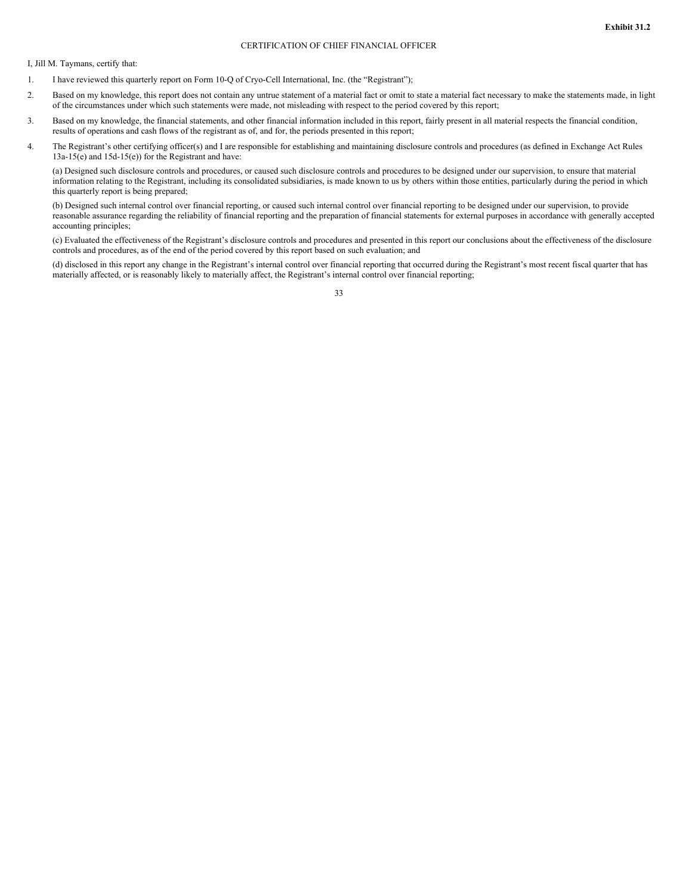#### CERTIFICATION OF CHIEF FINANCIAL OFFICER

I, Jill M. Taymans, certify that:

- 1. I have reviewed this quarterly report on Form 10-Q of Cryo-Cell International, Inc. (the "Registrant");
- 2. Based on my knowledge, this report does not contain any untrue statement of a material fact or omit to state a material fact necessary to make the statements made, in light of the circumstances under which such statements were made, not misleading with respect to the period covered by this report;
- 3. Based on my knowledge, the financial statements, and other financial information included in this report, fairly present in all material respects the financial condition, results of operations and cash flows of the registrant as of, and for, the periods presented in this report;
- 4. The Registrant's other certifying officer(s) and I are responsible for establishing and maintaining disclosure controls and procedures (as defined in Exchange Act Rules 13a-15(e) and 15d-15(e)) for the Registrant and have:

(a) Designed such disclosure controls and procedures, or caused such disclosure controls and procedures to be designed under our supervision, to ensure that material information relating to the Registrant, including its consolidated subsidiaries, is made known to us by others within those entities, particularly during the period in which this quarterly report is being prepared;

(b) Designed such internal control over financial reporting, or caused such internal control over financial reporting to be designed under our supervision, to provide reasonable assurance regarding the reliability of financial reporting and the preparation of financial statements for external purposes in accordance with generally accepted accounting principles;

(c) Evaluated the effectiveness of the Registrant's disclosure controls and procedures and presented in this report our conclusions about the effectiveness of the disclosure controls and procedures, as of the end of the period covered by this report based on such evaluation; and

(d) disclosed in this report any change in the Registrant's internal control over financial reporting that occurred during the Registrant's most recent fiscal quarter that has materially affected, or is reasonably likely to materially affect, the Registrant's internal control over financial reporting;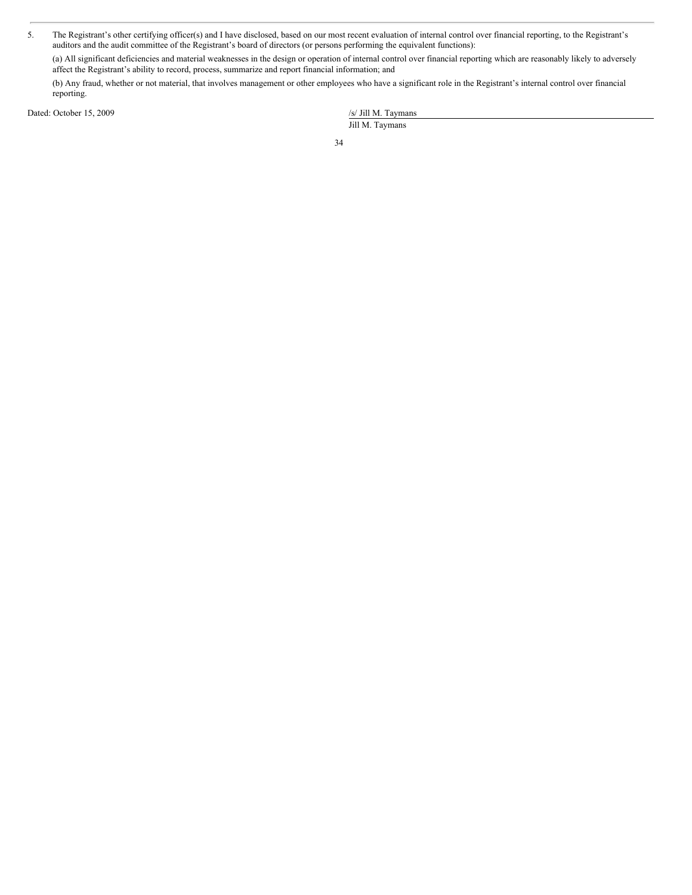5. The Registrant's other certifying officer(s) and I have disclosed, based on our most recent evaluation of internal control over financial reporting, to the Registrant's auditors and the audit committee of the Registrant's board of directors (or persons performing the equivalent functions):

(a) All significant deficiencies and material weaknesses in the design or operation of internal control over financial reporting which are reasonably likely to adversely affect the Registrant's ability to record, process, summarize and report financial information; and

(b) Any fraud, whether or not material, that involves management or other employees who have a significant role in the Registrant's internal control over financial reporting.

Dated: October 15, 2009 /s/ Jill M. Taymans

Jill M. Taymans